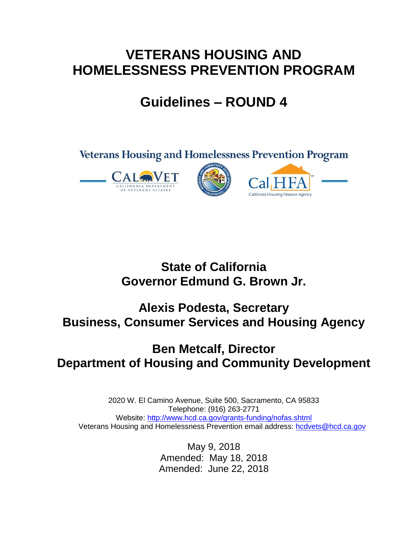## **VETERANS HOUSING AND HOMELESSNESS PREVENTION PROGRAM**

# **Guidelines – ROUND 4**



## **State of California Governor Edmund G. Brown Jr.**

## **Alexis Podesta, Secretary Business, Consumer Services and Housing Agency**

## **Ben Metcalf, Director Department of Housing and Community Development**

2020 W. El Camino Avenue, Suite 500, Sacramento, CA 95833 Telephone: (916) 263-2771 Website:<http://www.hcd.ca.gov/grants-funding/nofas.shtml> Veterans Housing and Homelessness Prevention email address: hodvets@hcd.ca.gov

> May 9, 2018 Amended: May 18, 2018 Amended: June 22, 2018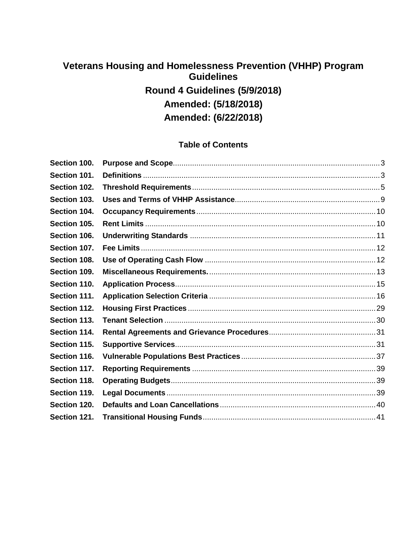## **Veterans Housing and Homelessness Prevention (VHHP) Program Guidelines Round 4 Guidelines (5/9/2018) Amended: (5/18/2018) Amended: (6/22/2018)**

## **Table of Contents**

| Section 100. |  |
|--------------|--|
| Section 101. |  |
| Section 102. |  |
| Section 103. |  |
| Section 104. |  |
| Section 105. |  |
| Section 106. |  |
| Section 107. |  |
| Section 108. |  |
| Section 109. |  |
| Section 110. |  |
| Section 111. |  |
| Section 112. |  |
| Section 113. |  |
| Section 114. |  |
| Section 115. |  |
| Section 116. |  |
| Section 117. |  |
| Section 118. |  |
| Section 119. |  |
| Section 120. |  |
| Section 121. |  |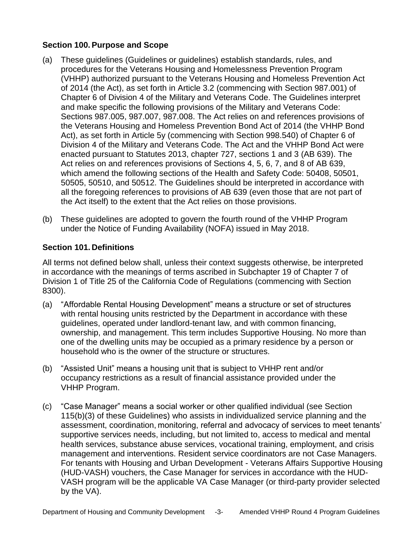### <span id="page-2-0"></span>**Section 100. Purpose and Scope**

- (a) These guidelines (Guidelines or guidelines) establish standards, rules, and procedures for the Veterans Housing and Homelessness Prevention Program (VHHP) authorized pursuant to the Veterans Housing and Homeless Prevention Act of 2014 (the Act), as set forth in Article 3.2 (commencing with Section 987.001) of Chapter 6 of Division 4 of the Military and Veterans Code. The Guidelines interpret and make specific the following provisions of the Military and Veterans Code: Sections 987.005, 987.007, 987.008. The Act relies on and references provisions of the Veterans Housing and Homeless Prevention Bond Act of 2014 (the VHHP Bond Act), as set forth in Article 5y (commencing with Section 998.540) of Chapter 6 of Division 4 of the Military and Veterans Code. The Act and the VHHP Bond Act were enacted pursuant to Statutes 2013, chapter 727, sections 1 and 3 (AB 639). The Act relies on and references provisions of Sections 4, 5, 6, 7, and 8 of AB 639, which amend the following sections of the Health and Safety Code: 50408, 50501, 50505, 50510, and 50512. The Guidelines should be interpreted in accordance with all the foregoing references to provisions of AB 639 (even those that are not part of the Act itself) to the extent that the Act relies on those provisions.
- (b) These guidelines are adopted to govern the fourth round of the VHHP Program under the Notice of Funding Availability (NOFA) issued in May 2018.

### <span id="page-2-1"></span>**Section 101. Definitions**

All terms not defined below shall, unless their context suggests otherwise, be interpreted in accordance with the meanings of terms ascribed in Subchapter 19 of Chapter 7 of Division 1 of Title 25 of the California Code of Regulations (commencing with Section 8300).

- (a) "Affordable Rental Housing Development" means a structure or set of structures with rental housing units restricted by the Department in accordance with these guidelines, operated under landlord-tenant law, and with common financing, ownership, and management. This term includes Supportive Housing. No more than one of the dwelling units may be occupied as a primary residence by a person or household who is the owner of the structure or structures.
- (b) "Assisted Unit" means a housing unit that is subject to VHHP rent and/or occupancy restrictions as a result of financial assistance provided under the VHHP Program.
- (c) "Case Manager" means a social worker or other qualified individual (see Section 115(b)(3) of these Guidelines) who assists in individualized service planning and the assessment, coordination, monitoring, referral and advocacy of services to meet tenants' supportive services needs, including, but not limited to, access to medical and mental health services, substance abuse services, vocational training, employment, and crisis management and interventions. Resident service coordinators are not Case Managers. For tenants with Housing and Urban Development - Veterans Affairs Supportive Housing (HUD-VASH) vouchers, the Case Manager for services in accordance with the HUD-VASH program will be the applicable VA Case Manager (or third-party provider selected by the VA).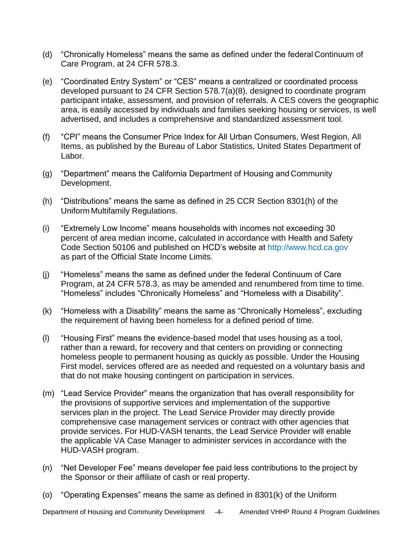- (d) "Chronically Homeless" means the same as defined under the federal Continuum of Care Program, at 24 CFR 578.3.
- (e) "Coordinated Entry System" or "CES" means a centralized or coordinated process developed pursuant to 24 CFR Section 578.7(a)(8), designed to coordinate program participant intake, assessment, and provision of referrals. A CES covers the geographic area, is easily accessed by individuals and families seeking housing or services, is well advertised, and includes a comprehensive and standardized assessment tool.
- (f) "CPI" means the Consumer Price Index for All Urban Consumers, West Region, All Items, as published by the Bureau of Labor Statistics, United States Department of Labor.
- (g) "Department" means the California Department of Housing and Community Development.
- (h) "Distributions" means the same as defined in 25 CCR Section 8301(h) of the Uniform Multifamily Regulations.
- (i) "Extremely Low Income" means households with incomes not exceeding 30 percent of area median income, calculated in accordance with Health and Safety Code Section 50106 and published on HCD's website at [http://www.hcd.ca.gov](http://www.hcd.ca.gov/hpd/hrc/rep/state/incNote.html) as part of the Official State Income Limits.
- (j) "Homeless" means the same as defined under the federal Continuum of Care Program, at 24 CFR 578.3, as may be amended and renumbered from time to time. "Homeless" includes "Chronically Homeless" and "Homeless with a Disability".
- (k) "Homeless with a Disability" means the same as "Chronically Homeless", excluding the requirement of having been homeless for a defined period of time.
- (l) "Housing First" means the evidence-based model that uses housing as a tool, rather than a reward, for recovery and that centers on providing or connecting homeless people to permanent housing as quickly as possible. Under the Housing First model, services offered are as needed and requested on a voluntary basis and that do not make housing contingent on participation in services.
- (m) "Lead Service Provider" means the organization that has overall responsibility for the provisions of supportive services and implementation of the supportive services plan in the project. The Lead Service Provider may directly provide comprehensive case management services or contract with other agencies that provide services. For HUD-VASH tenants, the Lead Service Provider will enable the applicable VA Case Manager to administer services in accordance with the HUD-VASH program.
- (n) "Net Developer Fee" means developer fee paid less contributions to the project by the Sponsor or their affiliate of cash or real property.
- (o) "Operating Expenses" means the same as defined in 8301(k) of the Uniform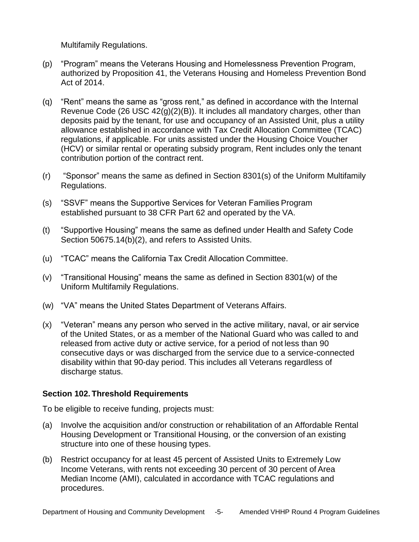Multifamily Regulations.

- (p) "Program" means the Veterans Housing and Homelessness Prevention Program, authorized by Proposition 41, the Veterans Housing and Homeless Prevention Bond Act of 2014.
- (q) "Rent" means the same as "gross rent," as defined in accordance with the Internal Revenue Code (26 USC 42(g)(2)(B)). It includes all mandatory charges, other than deposits paid by the tenant, for use and occupancy of an Assisted Unit, plus a utility allowance established in accordance with Tax Credit Allocation Committee (TCAC) regulations, if applicable. For units assisted under the Housing Choice Voucher (HCV) or similar rental or operating subsidy program, Rent includes only the tenant contribution portion of the contract rent.
- (r) "Sponsor" means the same as defined in Section 8301(s) of the Uniform Multifamily Regulations.
- (s) "SSVF" means the Supportive Services for Veteran Families Program established pursuant to 38 CFR Part 62 and operated by the VA.
- (t) "Supportive Housing" means the same as defined under Health and Safety Code Section 50675.14(b)(2), and refers to Assisted Units.
- (u) "TCAC" means the California Tax Credit Allocation Committee.
- (v) "Transitional Housing" means the same as defined in Section 8301(w) of the Uniform Multifamily Regulations.
- (w) "VA" means the United States Department of Veterans Affairs.
- (x) "Veteran" means any person who served in the active military, naval, or air service of the United States, or as a member of the National Guard who was called to and released from active duty or active service, for a period of not less than 90 consecutive days or was discharged from the service due to a service-connected disability within that 90-day period. This includes all Veterans regardless of discharge status.

#### <span id="page-4-0"></span>**Section 102. Threshold Requirements**

To be eligible to receive funding, projects must:

- (a) Involve the acquisition and/or construction or rehabilitation of an Affordable Rental Housing Development or Transitional Housing, or the conversion of an existing structure into one of these housing types.
- (b) Restrict occupancy for at least 45 percent of Assisted Units to Extremely Low Income Veterans, with rents not exceeding 30 percent of 30 percent of Area Median Income (AMI), calculated in accordance with TCAC regulations and procedures.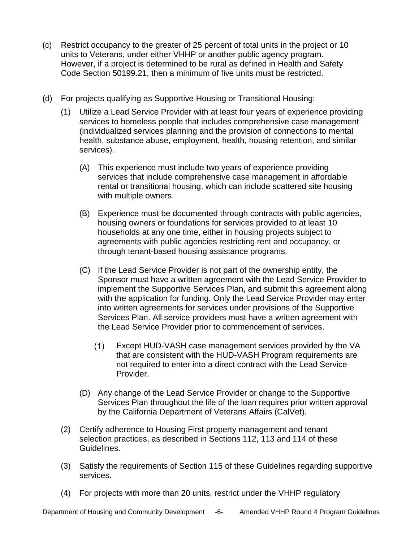- (c) Restrict occupancy to the greater of 25 percent of total units in the project or 10 units to Veterans, under either VHHP or another public agency program. However, if a project is determined to be rural as defined in Health and Safety Code Section 50199.21, then a minimum of five units must be restricted.
- (d) For projects qualifying as Supportive Housing or Transitional Housing:
	- (1) Utilize a Lead Service Provider with at least four years of experience providing services to homeless people that includes comprehensive case management (individualized services planning and the provision of connections to mental health, substance abuse, employment, health, housing retention, and similar services).
		- (A) This experience must include two years of experience providing services that include comprehensive case management in affordable rental or transitional housing, which can include scattered site housing with multiple owners.
		- (B) Experience must be documented through contracts with public agencies, housing owners or foundations for services provided to at least 10 households at any one time, either in housing projects subject to agreements with public agencies restricting rent and occupancy, or through tenant-based housing assistance programs.
		- (C) If the Lead Service Provider is not part of the ownership entity, the Sponsor must have a written agreement with the Lead Service Provider to implement the Supportive Services Plan, and submit this agreement along with the application for funding. Only the Lead Service Provider may enter into written agreements for services under provisions of the Supportive Services Plan. All service providers must have a written agreement with the Lead Service Provider prior to commencement of services.
			- (1) Except HUD-VASH case management services provided by the VA that are consistent with the HUD-VASH Program requirements are not required to enter into a direct contract with the Lead Service Provider.
		- (D) Any change of the Lead Service Provider or change to the Supportive Services Plan throughout the life of the loan requires prior written approval by the California Department of Veterans Affairs (CalVet).
	- (2) Certify adherence to Housing First property management and tenant selection practices, as described in Sections 112, 113 and 114 of these Guidelines.
	- (3) Satisfy the requirements of Section 115 of these Guidelines regarding supportive services.
	- (4) For projects with more than 20 units, restrict under the VHHP regulatory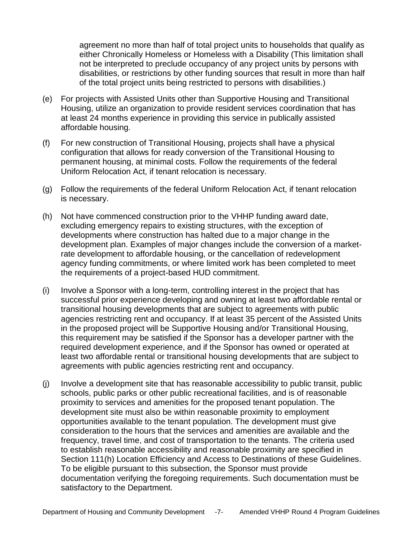agreement no more than half of total project units to households that qualify as either Chronically Homeless or Homeless with a Disability (This limitation shall not be interpreted to preclude occupancy of any project units by persons with disabilities, or restrictions by other funding sources that result in more than half of the total project units being restricted to persons with disabilities.)

- (e) For projects with Assisted Units other than Supportive Housing and Transitional Housing, utilize an organization to provide resident services coordination that has at least 24 months experience in providing this service in publically assisted affordable housing.
- (f) For new construction of Transitional Housing, projects shall have a physical configuration that allows for ready conversion of the Transitional Housing to permanent housing, at minimal costs. Follow the requirements of the federal Uniform Relocation Act, if tenant relocation is necessary.
- (g) Follow the requirements of the federal Uniform Relocation Act, if tenant relocation is necessary.
- (h) Not have commenced construction prior to the VHHP funding award date, excluding emergency repairs to existing structures, with the exception of developments where construction has halted due to a major change in the development plan. Examples of major changes include the conversion of a marketrate development to affordable housing, or the cancellation of redevelopment agency funding commitments, or where limited work has been completed to meet the requirements of a project-based HUD commitment.
- (i) Involve a Sponsor with a long-term, controlling interest in the project that has successful prior experience developing and owning at least two affordable rental or transitional housing developments that are subject to agreements with public agencies restricting rent and occupancy. If at least 35 percent of the Assisted Units in the proposed project will be Supportive Housing and/or Transitional Housing, this requirement may be satisfied if the Sponsor has a developer partner with the required development experience, and if the Sponsor has owned or operated at least two affordable rental or transitional housing developments that are subject to agreements with public agencies restricting rent and occupancy.
- (j) Involve a development site that has reasonable accessibility to public transit, public schools, public parks or other public recreational facilities, and is of reasonable proximity to services and amenities for the proposed tenant population. The development site must also be within reasonable proximity to employment opportunities available to the tenant population. The development must give consideration to the hours that the services and amenities are available and the frequency, travel time, and cost of transportation to the tenants. The criteria used to establish reasonable accessibility and reasonable proximity are specified in Section 111(h) Location Efficiency and Access to Destinations of these Guidelines. To be eligible pursuant to this subsection, the Sponsor must provide documentation verifying the foregoing requirements. Such documentation must be satisfactory to the Department.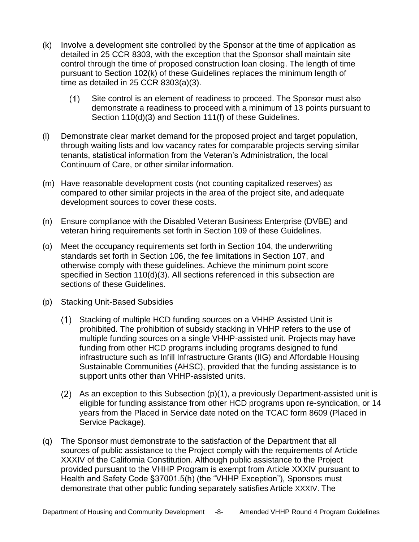- (k) Involve a development site controlled by the Sponsor at the time of application as detailed in 25 CCR 8303, with the exception that the Sponsor shall maintain site control through the time of proposed construction loan closing. The length of time pursuant to Section 102(k) of these Guidelines replaces the minimum length of time as detailed in 25 CCR 8303(a)(3).
	- Site control is an element of readiness to proceed. The Sponsor must also  $(1)$ demonstrate a readiness to proceed with a minimum of 13 points pursuant to Section 110(d)(3) and Section 111(f) of these Guidelines.
- (l) Demonstrate clear market demand for the proposed project and target population, through waiting lists and low vacancy rates for comparable projects serving similar tenants, statistical information from the Veteran's Administration, the local Continuum of Care, or other similar information.
- (m) Have reasonable development costs (not counting capitalized reserves) as compared to other similar projects in the area of the project site, and adequate development sources to cover these costs.
- (n) Ensure compliance with the Disabled Veteran Business Enterprise (DVBE) and veteran hiring requirements set forth in Section 109 of these Guidelines.
- (o) Meet the occupancy requirements set forth in Section 104, the underwriting standards set forth in Section 106, the fee limitations in Section 107, and otherwise comply with these guidelines. Achieve the minimum point score specified in Section 110(d)(3). All sections referenced in this subsection are sections of these Guidelines.
- (p) Stacking Unit-Based Subsidies
	- Stacking of multiple HCD funding sources on a VHHP Assisted Unit is prohibited. The prohibition of subsidy stacking in VHHP refers to the use of multiple funding sources on a single VHHP-assisted unit. Projects may have funding from other HCD programs including programs designed to fund infrastructure such as Infill Infrastructure Grants (IIG) and Affordable Housing Sustainable Communities (AHSC), provided that the funding assistance is to support units other than VHHP-assisted units.
	- (2) As an exception to this Subsection  $(p)(1)$ , a previously Department-assisted unit is eligible for funding assistance from other HCD programs upon re-syndication, or 14 years from the Placed in Service date noted on the TCAC form 8609 (Placed in Service Package).
- (q) The Sponsor must demonstrate to the satisfaction of the Department that all sources of public assistance to the Project comply with the requirements of Article XXXIV of the California Constitution. Although public assistance to the Project provided pursuant to the VHHP Program is exempt from Article XXXIV pursuant to Health and Safety Code §37001.5(h) (the "VHHP Exception"), Sponsors must demonstrate that other public funding separately satisfies Article XXXIV. The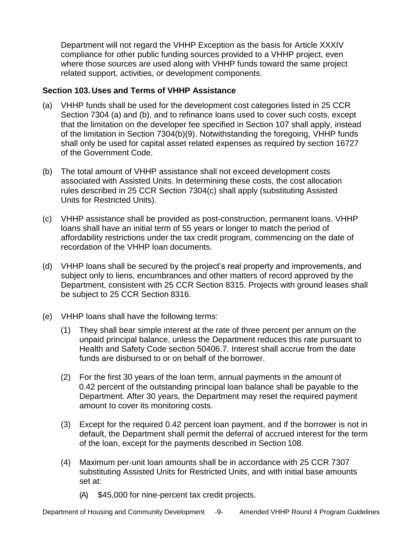Department will not regard the VHHP Exception as the basis for Article XXXIV compliance for other public funding sources provided to a VHHP project, even where those sources are used along with VHHP funds toward the same project related support, activities, or development components.

### <span id="page-8-0"></span>**Section 103. Uses and Terms of VHHP Assistance**

- (a) VHHP funds shall be used for the development cost categories listed in 25 CCR Section 7304 (a) and (b), and to refinance loans used to cover such costs, except that the limitation on the developer fee specified in Section 107 shall apply, instead of the limitation in Section 7304(b)(9). Notwithstanding the foregoing, VHHP funds shall only be used for capital asset related expenses as required by section 16727 of the Government Code.
- (b) The total amount of VHHP assistance shall not exceed development costs associated with Assisted Units. In determining these costs, the cost allocation rules described in 25 CCR Section 7304(c) shall apply (substituting Assisted Units for Restricted Units).
- (c) VHHP assistance shall be provided as post-construction, permanent loans. VHHP loans shall have an initial term of 55 years or longer to match the period of affordability restrictions under the tax credit program, commencing on the date of recordation of the VHHP loan documents.
- (d) VHHP loans shall be secured by the project's real property and improvements, and subject only to liens, encumbrances and other matters of record approved by the Department, consistent with 25 CCR Section 8315. Projects with ground leases shall be subject to 25 CCR Section 8316.
- (e) VHHP loans shall have the following terms:
	- (1) They shall bear simple interest at the rate of three percent per annum on the unpaid principal balance, unless the Department reduces this rate pursuant to Health and Safety Code section 50406.7. Interest shall accrue from the date funds are disbursed to or on behalf of the borrower.
	- (2) For the first 30 years of the loan term, annual payments in the amount of 0.42 percent of the outstanding principal loan balance shall be payable to the Department. After 30 years, the Department may reset the required payment amount to cover its monitoring costs.
	- (3) Except for the required 0.42 percent loan payment, and if the borrower is not in default, the Department shall permit the deferral of accrued interest for the term of the loan, except for the payments described in Section 108.
	- (4) Maximum per-unit loan amounts shall be in accordance with 25 CCR 7307 substituting Assisted Units for Restricted Units, and with initial base amounts set at:
		- (A) \$45,000 for nine-percent tax credit projects.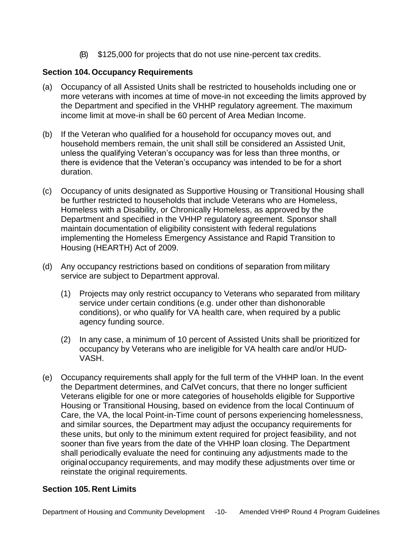(B) \$125,000 for projects that do not use nine-percent tax credits.

### <span id="page-9-0"></span>**Section 104. Occupancy Requirements**

- (a) Occupancy of all Assisted Units shall be restricted to households including one or more veterans with incomes at time of move-in not exceeding the limits approved by the Department and specified in the VHHP regulatory agreement. The maximum income limit at move-in shall be 60 percent of Area Median Income.
- (b) If the Veteran who qualified for a household for occupancy moves out, and household members remain, the unit shall still be considered an Assisted Unit, unless the qualifying Veteran's occupancy was for less than three months, or there is evidence that the Veteran's occupancy was intended to be for a short duration.
- (c) Occupancy of units designated as Supportive Housing or Transitional Housing shall be further restricted to households that include Veterans who are Homeless, Homeless with a Disability, or Chronically Homeless, as approved by the Department and specified in the VHHP regulatory agreement. Sponsor shall maintain documentation of eligibility consistent with federal regulations implementing the Homeless Emergency Assistance and Rapid Transition to Housing (HEARTH) Act of 2009.
- (d) Any occupancy restrictions based on conditions of separation from military service are subject to Department approval.
	- (1) Projects may only restrict occupancy to Veterans who separated from military service under certain conditions (e.g. under other than dishonorable conditions), or who qualify for VA health care, when required by a public agency funding source.
	- (2) In any case, a minimum of 10 percent of Assisted Units shall be prioritized for occupancy by Veterans who are ineligible for VA health care and/or HUD-VASH.
- (e) Occupancy requirements shall apply for the full term of the VHHP loan. In the event the Department determines, and CalVet concurs, that there no longer sufficient Veterans eligible for one or more categories of households eligible for Supportive Housing or Transitional Housing, based on evidence from the local Continuum of Care, the VA, the local Point-in-Time count of persons experiencing homelessness, and similar sources, the Department may adjust the occupancy requirements for these units, but only to the minimum extent required for project feasibility, and not sooner than five years from the date of the VHHP loan closing. The Department shall periodically evaluate the need for continuing any adjustments made to the original occupancy requirements, and may modify these adjustments over time or reinstate the original requirements.

#### <span id="page-9-1"></span>**Section 105. Rent Limits**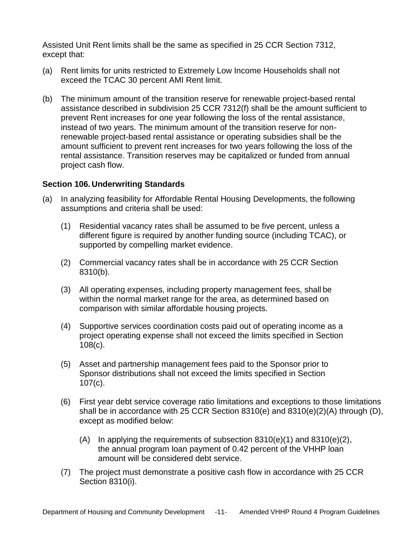Assisted Unit Rent limits shall be the same as specified in 25 CCR Section 7312, except that:

- (a) Rent limits for units restricted to Extremely Low Income Households shall not exceed the TCAC 30 percent AMI Rent limit.
- (b) The minimum amount of the transition reserve for renewable project-based rental assistance described in subdivision 25 CCR 7312(f) shall be the amount sufficient to prevent Rent increases for one year following the loss of the rental assistance, instead of two years. The minimum amount of the transition reserve for nonrenewable project-based rental assistance or operating subsidies shall be the amount sufficient to prevent rent increases for two years following the loss of the rental assistance. Transition reserves may be capitalized or funded from annual project cash flow.

#### <span id="page-10-0"></span>**Section 106. Underwriting Standards**

- (a) In analyzing feasibility for Affordable Rental Housing Developments, the following assumptions and criteria shall be used:
	- (1) Residential vacancy rates shall be assumed to be five percent, unless a different figure is required by another funding source (including TCAC), or supported by compelling market evidence.
	- (2) Commercial vacancy rates shall be in accordance with 25 CCR Section 8310(b).
	- (3) All operating expenses, including property management fees, shall be within the normal market range for the area, as determined based on comparison with similar affordable housing projects.
	- (4) Supportive services coordination costs paid out of operating income as a project operating expense shall not exceed the limits specified in Section 108(c).
	- (5) Asset and partnership management fees paid to the Sponsor prior to Sponsor distributions shall not exceed the limits specified in Section 107(c).
	- (6) First year debt service coverage ratio limitations and exceptions to those limitations shall be in accordance with 25 CCR Section 8310(e) and 8310(e)(2)(A) through (D), except as modified below:
		- (A) In applying the requirements of subsection  $8310(e)(1)$  and  $8310(e)(2)$ , the annual program loan payment of 0.42 percent of the VHHP loan amount will be considered debt service.
	- (7) The project must demonstrate a positive cash flow in accordance with 25 CCR Section 8310(i).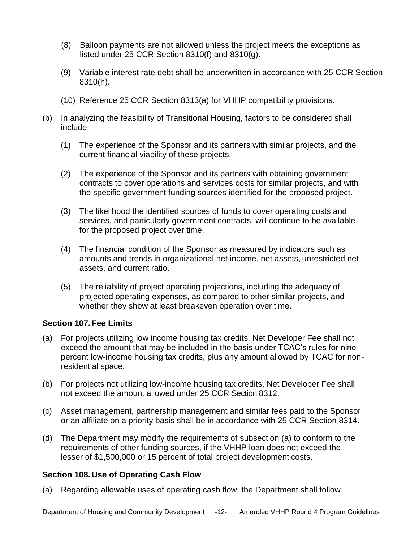- (8) Balloon payments are not allowed unless the project meets the exceptions as listed under 25 CCR Section 8310(f) and 8310(g).
- (9) Variable interest rate debt shall be underwritten in accordance with 25 CCR Section 8310(h).
- (10) Reference 25 CCR Section 8313(a) for VHHP compatibility provisions.
- (b) In analyzing the feasibility of Transitional Housing, factors to be considered shall include:
	- (1) The experience of the Sponsor and its partners with similar projects, and the current financial viability of these projects.
	- (2) The experience of the Sponsor and its partners with obtaining government contracts to cover operations and services costs for similar projects, and with the specific government funding sources identified for the proposed project.
	- (3) The likelihood the identified sources of funds to cover operating costs and services, and particularly government contracts, will continue to be available for the proposed project over time.
	- (4) The financial condition of the Sponsor as measured by indicators such as amounts and trends in organizational net income, net assets, unrestricted net assets, and current ratio.
	- (5) The reliability of project operating projections, including the adequacy of projected operating expenses, as compared to other similar projects, and whether they show at least breakeven operation over time.

## <span id="page-11-0"></span>**Section 107. Fee Limits**

- (a) For projects utilizing low income housing tax credits, Net Developer Fee shall not exceed the amount that may be included in the basis under TCAC's rules for nine percent low-income housing tax credits, plus any amount allowed by TCAC for nonresidential space.
- (b) For projects not utilizing low-income housing tax credits, Net Developer Fee shall not exceed the amount allowed under 25 CCR Section 8312.
- (c) Asset management, partnership management and similar fees paid to the Sponsor or an affiliate on a priority basis shall be in accordance with 25 CCR Section 8314.
- (d) The Department may modify the requirements of subsection (a) to conform to the requirements of other funding sources, if the VHHP loan does not exceed the lesser of \$1,500,000 or 15 percent of total project development costs.

#### <span id="page-11-1"></span>**Section 108. Use of Operating Cash Flow**

(a) Regarding allowable uses of operating cash flow, the Department shall follow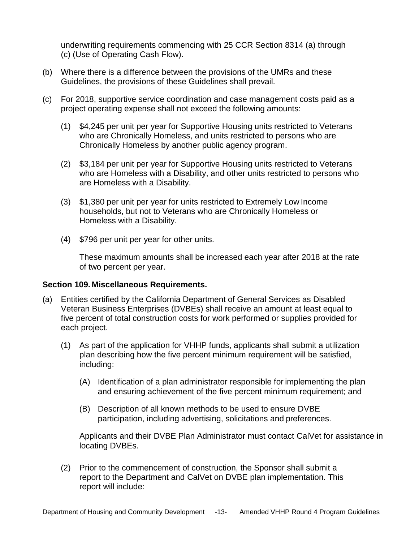underwriting requirements commencing with 25 CCR Section 8314 (a) through (c) (Use of Operating Cash Flow).

- (b) Where there is a difference between the provisions of the UMRs and these Guidelines, the provisions of these Guidelines shall prevail.
- (c) For 2018, supportive service coordination and case management costs paid as a project operating expense shall not exceed the following amounts:
	- (1) \$4,245 per unit per year for Supportive Housing units restricted to Veterans who are Chronically Homeless, and units restricted to persons who are Chronically Homeless by another public agency program.
	- (2) \$3,184 per unit per year for Supportive Housing units restricted to Veterans who are Homeless with a Disability, and other units restricted to persons who are Homeless with a Disability.
	- (3) \$1,380 per unit per year for units restricted to Extremely Low Income households, but not to Veterans who are Chronically Homeless or Homeless with a Disability.
	- (4) \$796 per unit per year for other units.

These maximum amounts shall be increased each year after 2018 at the rate of two percent per year.

#### <span id="page-12-0"></span>**Section 109. Miscellaneous Requirements.**

- (a) Entities certified by the California Department of General Services as Disabled Veteran Business Enterprises (DVBEs) shall receive an amount at least equal to five percent of total construction costs for work performed or supplies provided for each project.
	- (1) As part of the application for VHHP funds, applicants shall submit a utilization plan describing how the five percent minimum requirement will be satisfied, including:
		- (A) Identification of a plan administrator responsible for implementing the plan and ensuring achievement of the five percent minimum requirement; and
		- (B) Description of all known methods to be used to ensure DVBE participation, including advertising, solicitations and preferences.

Applicants and their DVBE Plan Administrator must contact CalVet for assistance in locating DVBEs.

(2) Prior to the commencement of construction, the Sponsor shall submit a report to the Department and CalVet on DVBE plan implementation. This report will include: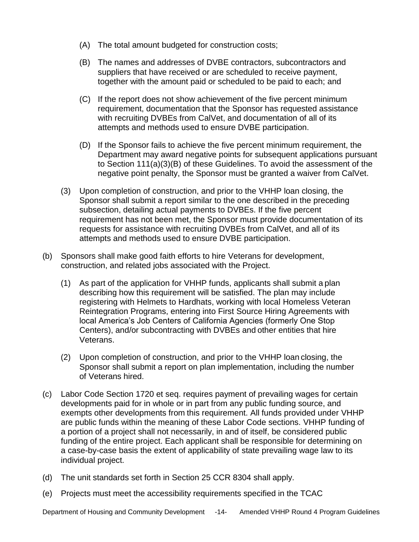- (A) The total amount budgeted for construction costs;
- (B) The names and addresses of DVBE contractors, subcontractors and suppliers that have received or are scheduled to receive payment, together with the amount paid or scheduled to be paid to each; and
- (C) If the report does not show achievement of the five percent minimum requirement, documentation that the Sponsor has requested assistance with recruiting DVBEs from CalVet, and documentation of all of its attempts and methods used to ensure DVBE participation.
- (D) If the Sponsor fails to achieve the five percent minimum requirement, the Department may award negative points for subsequent applications pursuant to Section 111(a)(3)(B) of these Guidelines. To avoid the assessment of the negative point penalty, the Sponsor must be granted a waiver from CalVet.
- (3) Upon completion of construction, and prior to the VHHP loan closing, the Sponsor shall submit a report similar to the one described in the preceding subsection, detailing actual payments to DVBEs. If the five percent requirement has not been met, the Sponsor must provide documentation of its requests for assistance with recruiting DVBEs from CalVet, and all of its attempts and methods used to ensure DVBE participation.
- (b) Sponsors shall make good faith efforts to hire Veterans for development, construction, and related jobs associated with the Project.
	- (1) As part of the application for VHHP funds, applicants shall submit a plan describing how this requirement will be satisfied. The plan may include registering with Helmets to Hardhats, working with local Homeless Veteran Reintegration Programs, entering into First Source Hiring Agreements with local America's Job Centers of California Agencies (formerly One Stop Centers), and/or subcontracting with DVBEs and other entities that hire Veterans.
	- (2) Upon completion of construction, and prior to the VHHP loan closing, the Sponsor shall submit a report on plan implementation, including the number of Veterans hired.
- (c) Labor Code Section 1720 et seq. requires payment of prevailing wages for certain developments paid for in whole or in part from any public funding source, and exempts other developments from this requirement. All funds provided under VHHP are public funds within the meaning of these Labor Code sections. VHHP funding of a portion of a project shall not necessarily, in and of itself, be considered public funding of the entire project. Each applicant shall be responsible for determining on a case-by-case basis the extent of applicability of state prevailing wage law to its individual project.
- (d) The unit standards set forth in Section 25 CCR 8304 shall apply.
- (e) Projects must meet the accessibility requirements specified in the TCAC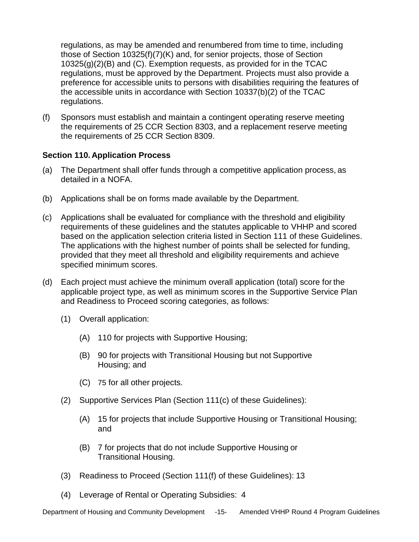regulations, as may be amended and renumbered from time to time, including those of Section 10325(f)(7)(K) and, for senior projects, those of Section 10325(g)(2)(B) and (C). Exemption requests, as provided for in the TCAC regulations, must be approved by the Department. Projects must also provide a preference for accessible units to persons with disabilities requiring the features of the accessible units in accordance with Section 10337(b)(2) of the TCAC regulations.

(f) Sponsors must establish and maintain a contingent operating reserve meeting the requirements of 25 CCR Section 8303, and a replacement reserve meeting the requirements of 25 CCR Section 8309.

## <span id="page-14-0"></span>**Section 110. Application Process**

- (a) The Department shall offer funds through a competitive application process, as detailed in a NOFA.
- (b) Applications shall be on forms made available by the Department.
- (c) Applications shall be evaluated for compliance with the threshold and eligibility requirements of these guidelines and the statutes applicable to VHHP and scored based on the application selection criteria listed in Section 111 of these Guidelines. The applications with the highest number of points shall be selected for funding, provided that they meet all threshold and eligibility requirements and achieve specified minimum scores.
- (d) Each project must achieve the minimum overall application (total) score for the applicable project type, as well as minimum scores in the Supportive Service Plan and Readiness to Proceed scoring categories, as follows:
	- (1) Overall application:
		- (A) 110 for projects with Supportive Housing;
		- (B) 90 for projects with Transitional Housing but not Supportive Housing; and
		- (C) 75 for all other projects.
	- (2) Supportive Services Plan (Section 111(c) of these Guidelines):
		- (A) 15 for projects that include Supportive Housing or Transitional Housing; and
		- (B) 7 for projects that do not include Supportive Housing or Transitional Housing.
	- (3) Readiness to Proceed (Section 111(f) of these Guidelines): 13
	- (4) Leverage of Rental or Operating Subsidies: 4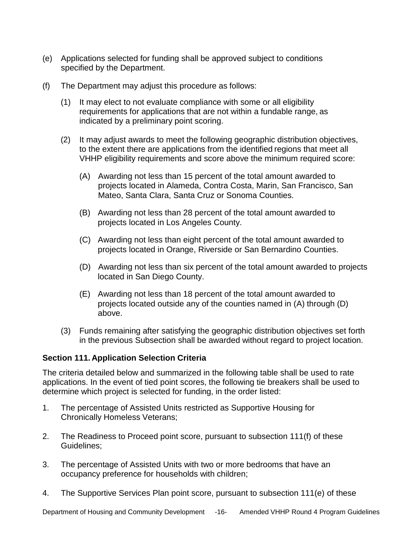- (e) Applications selected for funding shall be approved subject to conditions specified by the Department.
- (f) The Department may adjust this procedure as follows:
	- (1) It may elect to not evaluate compliance with some or all eligibility requirements for applications that are not within a fundable range, as indicated by a preliminary point scoring.
	- (2) It may adjust awards to meet the following geographic distribution objectives, to the extent there are applications from the identified regions that meet all VHHP eligibility requirements and score above the minimum required score:
		- (A) Awarding not less than 15 percent of the total amount awarded to projects located in Alameda, Contra Costa, Marin, San Francisco, San Mateo, Santa Clara, Santa Cruz or Sonoma Counties.
		- (B) Awarding not less than 28 percent of the total amount awarded to projects located in Los Angeles County.
		- (C) Awarding not less than eight percent of the total amount awarded to projects located in Orange, Riverside or San Bernardino Counties.
		- (D) Awarding not less than six percent of the total amount awarded to projects located in San Diego County.
		- (E) Awarding not less than 18 percent of the total amount awarded to projects located outside any of the counties named in (A) through (D) above.
	- (3) Funds remaining after satisfying the geographic distribution objectives set forth in the previous Subsection shall be awarded without regard to project location.

## <span id="page-15-0"></span>**Section 111. Application Selection Criteria**

The criteria detailed below and summarized in the following table shall be used to rate applications. In the event of tied point scores, the following tie breakers shall be used to determine which project is selected for funding, in the order listed:

- 1. The percentage of Assisted Units restricted as Supportive Housing for Chronically Homeless Veterans;
- 2. The Readiness to Proceed point score, pursuant to subsection 111(f) of these Guidelines;
- 3. The percentage of Assisted Units with two or more bedrooms that have an occupancy preference for households with children;
- 4. The Supportive Services Plan point score, pursuant to subsection 111(e) of these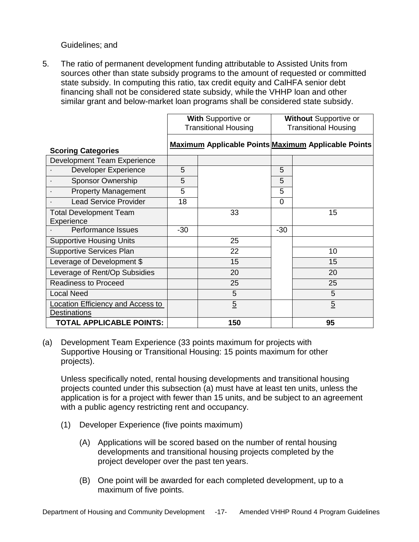Guidelines; and

5. The ratio of permanent development funding attributable to Assisted Units from sources other than state subsidy programs to the amount of requested or committed state subsidy. In computing this ratio, tax credit equity and CalHFA senior debt financing shall not be considered state subsidy, while the VHHP loan and other similar grant and below-market loan programs shall be considered state subsidy.

|                                                          | With Supportive or<br><b>Transitional Housing</b> |                | <b>Without Supportive or</b><br><b>Transitional Housing</b> |                                                            |
|----------------------------------------------------------|---------------------------------------------------|----------------|-------------------------------------------------------------|------------------------------------------------------------|
| <b>Scoring Categories</b>                                |                                                   |                |                                                             | <b>Maximum Applicable Points Maximum Applicable Points</b> |
| Development Team Experience                              |                                                   |                |                                                             |                                                            |
| <b>Developer Experience</b>                              | 5                                                 |                | 5                                                           |                                                            |
| <b>Sponsor Ownership</b>                                 | 5                                                 |                | 5                                                           |                                                            |
| <b>Property Management</b>                               | 5                                                 |                | 5                                                           |                                                            |
| <b>Lead Service Provider</b>                             | 18                                                |                | $\Omega$                                                    |                                                            |
| <b>Total Development Team</b><br>Experience              |                                                   | 33             |                                                             | 15                                                         |
| <b>Performance Issues</b>                                | $-30$                                             |                | $-30$                                                       |                                                            |
| <b>Supportive Housing Units</b>                          |                                                   | 25             |                                                             |                                                            |
| <b>Supportive Services Plan</b>                          |                                                   | 22             |                                                             | 10                                                         |
| Leverage of Development \$                               |                                                   | 15             |                                                             | 15                                                         |
| Leverage of Rent/Op Subsidies                            |                                                   | 20             |                                                             | 20                                                         |
| <b>Readiness to Proceed</b>                              |                                                   | 25             |                                                             | 25                                                         |
| <b>Local Need</b>                                        |                                                   | 5              |                                                             | 5                                                          |
| Location Efficiency and Access to<br><b>Destinations</b> |                                                   | $\overline{5}$ |                                                             | $\overline{5}$                                             |
| <b>TOTAL APPLICABLE POINTS:</b>                          |                                                   | 150            |                                                             | 95                                                         |

(a) Development Team Experience (33 points maximum for projects with Supportive Housing or Transitional Housing: 15 points maximum for other projects).

Unless specifically noted, rental housing developments and transitional housing projects counted under this subsection (a) must have at least ten units, unless the application is for a project with fewer than 15 units, and be subject to an agreement with a public agency restricting rent and occupancy.

- (1) Developer Experience (five points maximum)
	- (A) Applications will be scored based on the number of rental housing developments and transitional housing projects completed by the project developer over the past ten years.
	- (B) One point will be awarded for each completed development, up to a maximum of five points.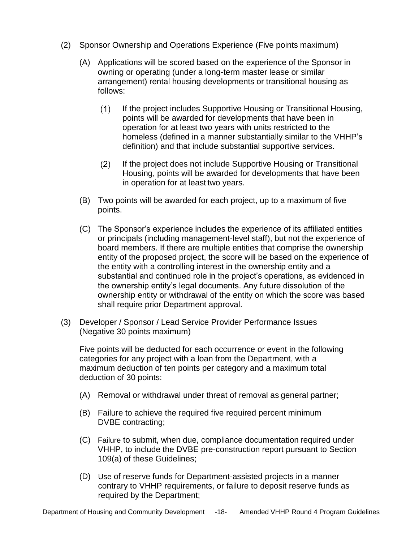- (2) Sponsor Ownership and Operations Experience (Five points maximum)
	- (A) Applications will be scored based on the experience of the Sponsor in owning or operating (under a long-term master lease or similar arrangement) rental housing developments or transitional housing as follows:
		- $(1)$ If the project includes Supportive Housing or Transitional Housing, points will be awarded for developments that have been in operation for at least two years with units restricted to the homeless (defined in a manner substantially similar to the VHHP's definition) and that include substantial supportive services.
		- $(2)$ If the project does not include Supportive Housing or Transitional Housing, points will be awarded for developments that have been in operation for at least two years.
	- (B) Two points will be awarded for each project, up to a maximum of five points.
	- (C) The Sponsor's experience includes the experience of its affiliated entities or principals (including management-level staff), but not the experience of board members. If there are multiple entities that comprise the ownership entity of the proposed project, the score will be based on the experience of the entity with a controlling interest in the ownership entity and a substantial and continued role in the project's operations, as evidenced in the ownership entity's legal documents. Any future dissolution of the ownership entity or withdrawal of the entity on which the score was based shall require prior Department approval.
- (3) Developer / Sponsor / Lead Service Provider Performance Issues (Negative 30 points maximum)

Five points will be deducted for each occurrence or event in the following categories for any project with a loan from the Department, with a maximum deduction of ten points per category and a maximum total deduction of 30 points:

- (A) Removal or withdrawal under threat of removal as general partner;
- (B) Failure to achieve the required five required percent minimum DVBE contracting;
- (C) Failure to submit, when due, compliance documentation required under VHHP, to include the DVBE pre-construction report pursuant to Section 109(a) of these Guidelines;
- (D) Use of reserve funds for Department-assisted projects in a manner contrary to VHHP requirements, or failure to deposit reserve funds as required by the Department;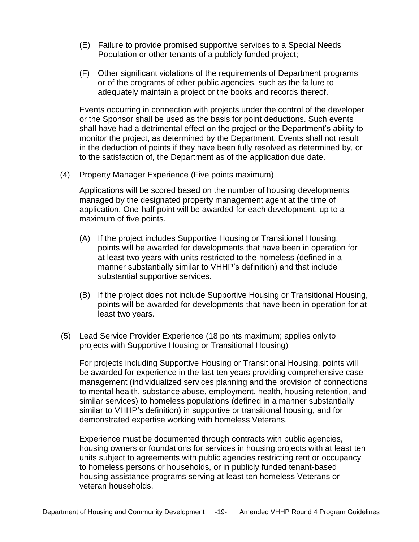- (E) Failure to provide promised supportive services to a Special Needs Population or other tenants of a publicly funded project;
- (F) Other significant violations of the requirements of Department programs or of the programs of other public agencies, such as the failure to adequately maintain a project or the books and records thereof.

Events occurring in connection with projects under the control of the developer or the Sponsor shall be used as the basis for point deductions. Such events shall have had a detrimental effect on the project or the Department's ability to monitor the project, as determined by the Department. Events shall not result in the deduction of points if they have been fully resolved as determined by, or to the satisfaction of, the Department as of the application due date.

(4) Property Manager Experience (Five points maximum)

Applications will be scored based on the number of housing developments managed by the designated property management agent at the time of application. One-half point will be awarded for each development, up to a maximum of five points.

- (A) If the project includes Supportive Housing or Transitional Housing, points will be awarded for developments that have been in operation for at least two years with units restricted to the homeless (defined in a manner substantially similar to VHHP's definition) and that include substantial supportive services.
- (B) If the project does not include Supportive Housing or Transitional Housing, points will be awarded for developments that have been in operation for at least two years.
- (5) Lead Service Provider Experience (18 points maximum; applies only to projects with Supportive Housing or Transitional Housing)

For projects including Supportive Housing or Transitional Housing, points will be awarded for experience in the last ten years providing comprehensive case management (individualized services planning and the provision of connections to mental health, substance abuse, employment, health, housing retention, and similar services) to homeless populations (defined in a manner substantially similar to VHHP's definition) in supportive or transitional housing, and for demonstrated expertise working with homeless Veterans.

Experience must be documented through contracts with public agencies, housing owners or foundations for services in housing projects with at least ten units subject to agreements with public agencies restricting rent or occupancy to homeless persons or households, or in publicly funded tenant-based housing assistance programs serving at least ten homeless Veterans or veteran households.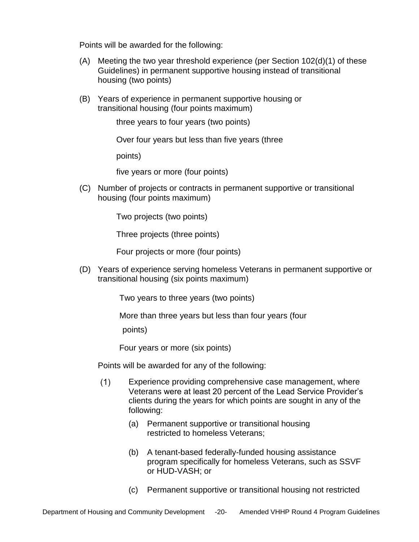Points will be awarded for the following:

- $(A)$  Meeting the two year threshold experience (per Section 102 $(d)(1)$  of these Guidelines) in permanent supportive housing instead of transitional housing (two points)
- (B) Years of experience in permanent supportive housing or transitional housing (four points maximum)

three years to four years (two points)

Over four years but less than five years (three

points)

five years or more (four points)

(C) Number of projects or contracts in permanent supportive or transitional housing (four points maximum)

Two projects (two points)

Three projects (three points)

Four projects or more (four points)

(D) Years of experience serving homeless Veterans in permanent supportive or transitional housing (six points maximum)

Two years to three years (two points)

More than three years but less than four years (four

points)

Four years or more (six points)

Points will be awarded for any of the following:

- $(1)$ Experience providing comprehensive case management, where Veterans were at least 20 percent of the Lead Service Provider's clients during the years for which points are sought in any of the following:
	- (a) Permanent supportive or transitional housing restricted to homeless Veterans;
	- (b) A tenant-based federally-funded housing assistance program specifically for homeless Veterans, such as SSVF or HUD-VASH; or
	- (c) Permanent supportive or transitional housing not restricted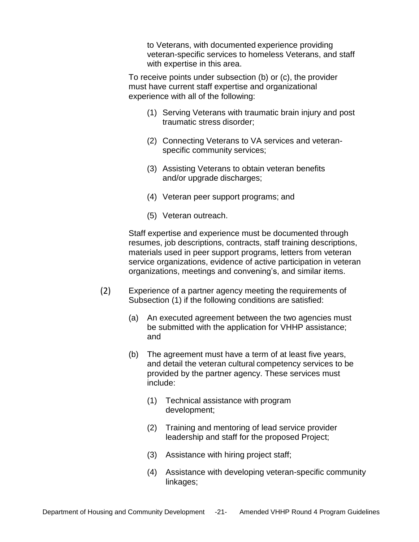to Veterans, with documented experience providing veteran-specific services to homeless Veterans, and staff with expertise in this area.

To receive points under subsection (b) or (c), the provider must have current staff expertise and organizational experience with all of the following:

- (1) Serving Veterans with traumatic brain injury and post traumatic stress disorder;
- (2) Connecting Veterans to VA services and veteranspecific community services;
- (3) Assisting Veterans to obtain veteran benefits and/or upgrade discharges;
- (4) Veteran peer support programs; and
- (5) Veteran outreach.

Staff expertise and experience must be documented through resumes, job descriptions, contracts, staff training descriptions, materials used in peer support programs, letters from veteran service organizations, evidence of active participation in veteran organizations, meetings and convening's, and similar items.

- (2) Experience of a partner agency meeting the requirements of Subsection (1) if the following conditions are satisfied:
	- (a) An executed agreement between the two agencies must be submitted with the application for VHHP assistance; and
	- (b) The agreement must have a term of at least five years, and detail the veteran cultural competency services to be provided by the partner agency. These services must include:
		- (1) Technical assistance with program development;
		- (2) Training and mentoring of lead service provider leadership and staff for the proposed Project;
		- (3) Assistance with hiring project staff;
		- (4) Assistance with developing veteran-specific community linkages;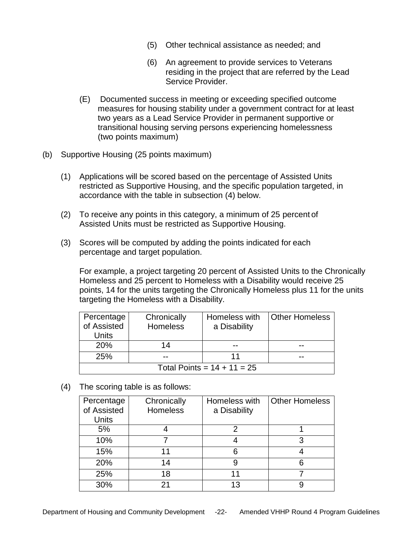- (5) Other technical assistance as needed; and
- (6) An agreement to provide services to Veterans residing in the project that are referred by the Lead Service Provider.
- (E) Documented success in meeting or exceeding specified outcome measures for housing stability under a government contract for at least two years as a Lead Service Provider in permanent supportive or transitional housing serving persons experiencing homelessness (two points maximum)
- (b) Supportive Housing (25 points maximum)
	- (1) Applications will be scored based on the percentage of Assisted Units restricted as Supportive Housing, and the specific population targeted, in accordance with the table in subsection (4) below.
	- (2) To receive any points in this category, a minimum of 25 percent of Assisted Units must be restricted as Supportive Housing.
	- (3) Scores will be computed by adding the points indicated for each percentage and target population.

For example, a project targeting 20 percent of Assisted Units to the Chronically Homeless and 25 percent to Homeless with a Disability would receive 25 points, 14 for the units targeting the Chronically Homeless plus 11 for the units targeting the Homeless with a Disability.

| Percentage<br>of Assisted<br>Units | Chronically<br><b>Homeless</b> | Homeless with<br>a Disability | <b>Other Homeless</b> |
|------------------------------------|--------------------------------|-------------------------------|-----------------------|
| 20%                                | 14                             |                               |                       |
| <b>25%</b>                         |                                |                               |                       |
| Total Points = $14 + 11 = 25$      |                                |                               |                       |

(4) The scoring table is as follows:

| Percentage   | Chronically     | Homeless with | <b>Other Homeless</b> |
|--------------|-----------------|---------------|-----------------------|
| of Assisted  | <b>Homeless</b> | a Disability  |                       |
| <b>Units</b> |                 |               |                       |
| 5%           |                 |               |                       |
| 10%          |                 |               | 3                     |
| 15%          |                 | 6             |                       |
| 20%          | 14              | 9             |                       |
| 25%          | 18              |               |                       |
| 30%          |                 | 13            |                       |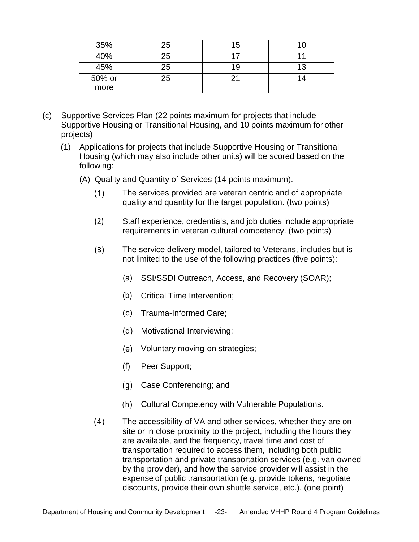| 35%    | 25 | 15 | 10 |
|--------|----|----|----|
| 40%    | 25 |    |    |
| 45%    | 25 | 19 | 13 |
| 50% or | 25 |    | 14 |
| more   |    |    |    |

- (c) Supportive Services Plan (22 points maximum for projects that include Supportive Housing or Transitional Housing, and 10 points maximum for other projects)
	- (1) Applications for projects that include Supportive Housing or Transitional Housing (which may also include other units) will be scored based on the following:
		- (A) Quality and Quantity of Services (14 points maximum).
			- $(1)$ The services provided are veteran centric and of appropriate quality and quantity for the target population. (two points)
			- (2) Staff experience, credentials, and job duties include appropriate requirements in veteran cultural competency. (two points)
			- (3) The service delivery model, tailored to Veterans, includes but is not limited to the use of the following practices (five points):
				- (a) SSI/SSDI Outreach, Access, and Recovery (SOAR);
				- (b) Critical Time Intervention;
				- (c) Trauma-Informed Care;
				- (d) Motivational Interviewing;
				- (e) Voluntary moving-on strategies;
				- (f) Peer Support;
				- (g) Case Conferencing; and
				- (h) Cultural Competency with Vulnerable Populations.
			- (4) The accessibility of VA and other services, whether they are onsite or in close proximity to the project, including the hours they are available, and the frequency, travel time and cost of transportation required to access them, including both public transportation and private transportation services (e.g. van owned by the provider), and how the service provider will assist in the expense of public transportation (e.g. provide tokens, negotiate discounts, provide their own shuttle service, etc.). (one point)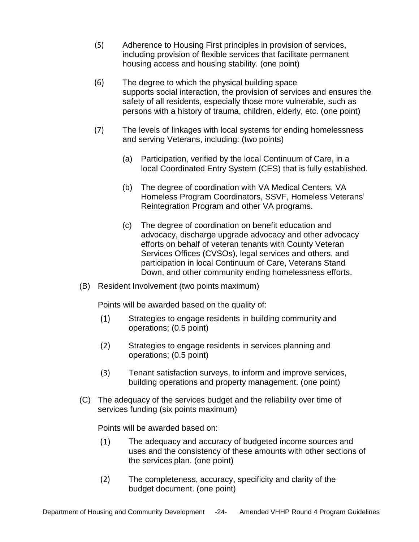- (5) Adherence to Housing First principles in provision of services, including provision of flexible services that facilitate permanent housing access and housing stability. (one point)
- (6) The degree to which the physical building space supports social interaction, the provision of services and ensures the safety of all residents, especially those more vulnerable, such as persons with a history of trauma, children, elderly, etc. (one point)
- (7) The levels of linkages with local systems for ending homelessness and serving Veterans, including: (two points)
	- (a) Participation, verified by the local Continuum of Care, in a local Coordinated Entry System (CES) that is fully established.
	- (b) The degree of coordination with VA Medical Centers, VA Homeless Program Coordinators, SSVF, Homeless Veterans' Reintegration Program and other VA programs.
	- (c) The degree of coordination on benefit education and advocacy, discharge upgrade advocacy and other advocacy efforts on behalf of veteran tenants with County Veteran Services Offices (CVSOs), legal services and others, and participation in local Continuum of Care, Veterans Stand Down, and other community ending homelessness efforts.
- (B) Resident Involvement (two points maximum)

Points will be awarded based on the quality of:

- (1) Strategies to engage residents in building community and operations; (0.5 point)
- (2) Strategies to engage residents in services planning and operations; (0.5 point)
- (3) Tenant satisfaction surveys, to inform and improve services, building operations and property management. (one point)
- (C) The adequacy of the services budget and the reliability over time of services funding (six points maximum)

Points will be awarded based on:

- (1) The adequacy and accuracy of budgeted income sources and uses and the consistency of these amounts with other sections of the services plan. (one point)
- (2) The completeness, accuracy, specificity and clarity of the budget document. (one point)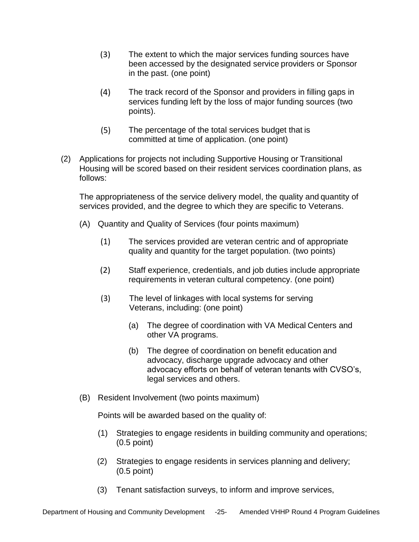- (3) The extent to which the major services funding sources have been accessed by the designated service providers or Sponsor in the past. (one point)
- (4) The track record of the Sponsor and providers in filling gaps in services funding left by the loss of major funding sources (two points).
- (5) The percentage of the total services budget that is committed at time of application. (one point)
- (2) Applications for projects not including Supportive Housing or Transitional Housing will be scored based on their resident services coordination plans, as follows:

The appropriateness of the service delivery model, the quality and quantity of services provided, and the degree to which they are specific to Veterans.

- (A) Quantity and Quality of Services (four points maximum)
	- (1) The services provided are veteran centric and of appropriate quality and quantity for the target population. (two points)
	- (2) Staff experience, credentials, and job duties include appropriate requirements in veteran cultural competency. (one point)
	- (3) The level of linkages with local systems for serving Veterans, including: (one point)
		- (a) The degree of coordination with VA Medical Centers and other VA programs.
		- (b) The degree of coordination on benefit education and advocacy, discharge upgrade advocacy and other advocacy efforts on behalf of veteran tenants with CVSO's, legal services and others.
- (B) Resident Involvement (two points maximum)

Points will be awarded based on the quality of:

- (1) Strategies to engage residents in building community and operations; (0.5 point)
- (2) Strategies to engage residents in services planning and delivery; (0.5 point)
- (3) Tenant satisfaction surveys, to inform and improve services,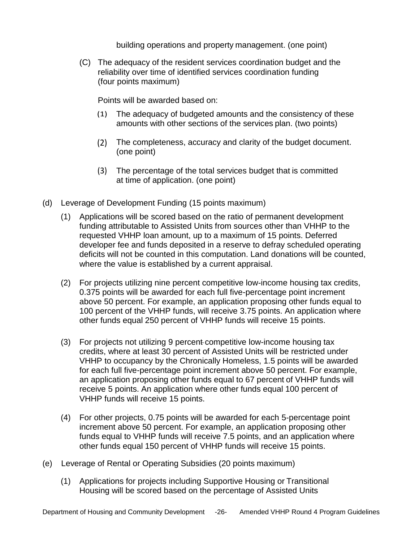building operations and property management. (one point)

(C) The adequacy of the resident services coordination budget and the reliability over time of identified services coordination funding (four points maximum)

Points will be awarded based on:

- (1) The adequacy of budgeted amounts and the consistency of these amounts with other sections of the services plan. (two points)
- (2) The completeness, accuracy and clarity of the budget document. (one point)
- (3) The percentage of the total services budget that is committed at time of application. (one point)
- (d) Leverage of Development Funding (15 points maximum)
	- (1) Applications will be scored based on the ratio of permanent development funding attributable to Assisted Units from sources other than VHHP to the requested VHHP loan amount, up to a maximum of 15 points. Deferred developer fee and funds deposited in a reserve to defray scheduled operating deficits will not be counted in this computation. Land donations will be counted, where the value is established by a current appraisal.
	- (2) For projects utilizing nine percent competitive low-income housing tax credits, 0.375 points will be awarded for each full five-percentage point increment above 50 percent. For example, an application proposing other funds equal to 100 percent of the VHHP funds, will receive 3.75 points. An application where other funds equal 250 percent of VHHP funds will receive 15 points.
	- (3) For projects not utilizing 9 percent competitive low-income housing tax credits, where at least 30 percent of Assisted Units will be restricted under VHHP to occupancy by the Chronically Homeless, 1.5 points will be awarded for each full five-percentage point increment above 50 percent. For example, an application proposing other funds equal to 67 percent of VHHP funds will receive 5 points. An application where other funds equal 100 percent of VHHP funds will receive 15 points.
	- (4) For other projects, 0.75 points will be awarded for each 5-percentage point increment above 50 percent. For example, an application proposing other funds equal to VHHP funds will receive 7.5 points, and an application where other funds equal 150 percent of VHHP funds will receive 15 points.
- (e) Leverage of Rental or Operating Subsidies (20 points maximum)
	- (1) Applications for projects including Supportive Housing or Transitional Housing will be scored based on the percentage of Assisted Units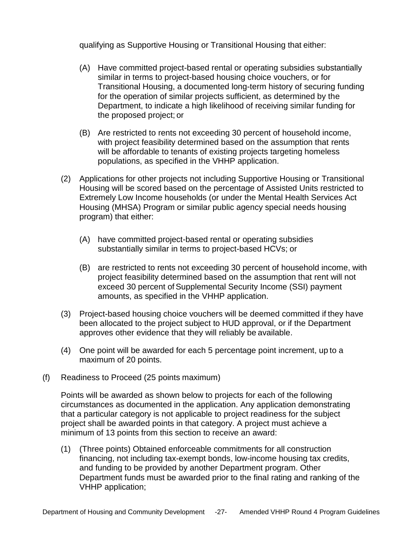qualifying as Supportive Housing or Transitional Housing that either:

- (A) Have committed project-based rental or operating subsidies substantially similar in terms to project-based housing choice vouchers, or for Transitional Housing, a documented long-term history of securing funding for the operation of similar projects sufficient, as determined by the Department, to indicate a high likelihood of receiving similar funding for the proposed project; or
- (B) Are restricted to rents not exceeding 30 percent of household income, with project feasibility determined based on the assumption that rents will be affordable to tenants of existing projects targeting homeless populations, as specified in the VHHP application.
- (2) Applications for other projects not including Supportive Housing or Transitional Housing will be scored based on the percentage of Assisted Units restricted to Extremely Low Income households (or under the Mental Health Services Act Housing (MHSA) Program or similar public agency special needs housing program) that either:
	- (A) have committed project-based rental or operating subsidies substantially similar in terms to project-based HCVs; or
	- (B) are restricted to rents not exceeding 30 percent of household income, with project feasibility determined based on the assumption that rent will not exceed 30 percent of Supplemental Security Income (SSI) payment amounts, as specified in the VHHP application.
- (3) Project-based housing choice vouchers will be deemed committed if they have been allocated to the project subject to HUD approval, or if the Department approves other evidence that they will reliably be available.
- (4) One point will be awarded for each 5 percentage point increment, up to a maximum of 20 points.
- (f) Readiness to Proceed (25 points maximum)

Points will be awarded as shown below to projects for each of the following circumstances as documented in the application. Any application demonstrating that a particular category is not applicable to project readiness for the subject project shall be awarded points in that category. A project must achieve a minimum of 13 points from this section to receive an award:

(1) (Three points) Obtained enforceable commitments for all construction financing, not including tax-exempt bonds, low-income housing tax credits, and funding to be provided by another Department program. Other Department funds must be awarded prior to the final rating and ranking of the VHHP application;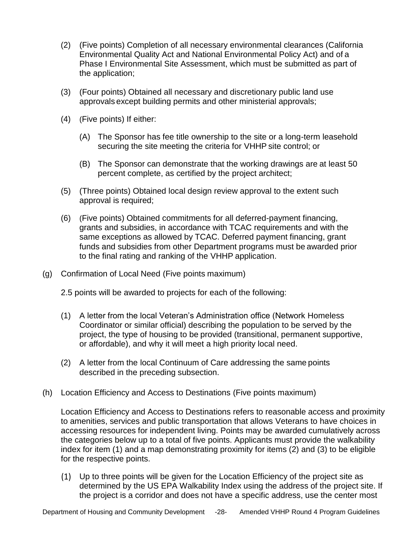- (2) (Five points) Completion of all necessary environmental clearances (California Environmental Quality Act and National Environmental Policy Act) and of a Phase I Environmental Site Assessment, which must be submitted as part of the application;
- (3) (Four points) Obtained all necessary and discretionary public land use approvals except building permits and other ministerial approvals;
- (4) (Five points) If either:
	- (A) The Sponsor has fee title ownership to the site or a long-term leasehold securing the site meeting the criteria for VHHP site control; or
	- (B) The Sponsor can demonstrate that the working drawings are at least 50 percent complete, as certified by the project architect;
- (5) (Three points) Obtained local design review approval to the extent such approval is required;
- (6) (Five points) Obtained commitments for all deferred-payment financing, grants and subsidies, in accordance with TCAC requirements and with the same exceptions as allowed by TCAC. Deferred payment financing, grant funds and subsidies from other Department programs must be awarded prior to the final rating and ranking of the VHHP application.
- (g) Confirmation of Local Need (Five points maximum)

2.5 points will be awarded to projects for each of the following:

- (1) A letter from the local Veteran's Administration office (Network Homeless Coordinator or similar official) describing the population to be served by the project, the type of housing to be provided (transitional, permanent supportive, or affordable), and why it will meet a high priority local need.
- (2) A letter from the local Continuum of Care addressing the same points described in the preceding subsection.
- (h) Location Efficiency and Access to Destinations (Five points maximum)

Location Efficiency and Access to Destinations refers to reasonable access and proximity to amenities, services and public transportation that allows Veterans to have choices in accessing resources for independent living. Points may be awarded cumulatively across the categories below up to a total of five points. Applicants must provide the walkability index for item (1) and a map demonstrating proximity for items (2) and (3) to be eligible for the respective points.

(1) Up to three points will be given for the Location Efficiency of the project site as determined by the US EPA Walkability Index using the address of the project site. If the project is a corridor and does not have a specific address, use the center most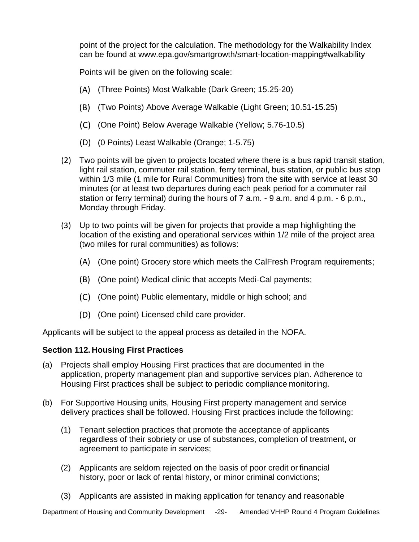point of the project for the calculation. The methodology for the Walkability Index can be found at [www.epa.gov/smartgrowth/smart-location-mapping#walkability](http://www.epa.gov/smartgrowth/smart-location-mapping#walkability)

Points will be given on the following scale:

- (A) (Three Points) Most Walkable (Dark Green; 15.25-20)
- (B) (Two Points) Above Average Walkable (Light Green; 10.51-15.25)
- (C) (One Point) Below Average Walkable (Yellow; 5.76-10.5)
- (D) (0 Points) Least Walkable (Orange; 1-5.75)
- (2) Two points will be given to projects located where there is a bus rapid transit station, light rail station, commuter rail station, ferry terminal, bus station, or public bus stop within 1/3 mile (1 mile for Rural Communities) from the site with service at least 30 minutes (or at least two departures during each peak period for a commuter rail station or ferry terminal) during the hours of 7 a.m. - 9 a.m. and 4 p.m. - 6 p.m., Monday through Friday.
- (3) Up to two points will be given for projects that provide a map highlighting the location of the existing and operational services within 1/2 mile of the project area (two miles for rural communities) as follows:
	- (A) (One point) Grocery store which meets the CalFresh Program requirements;
	- (B) (One point) Medical clinic that accepts Medi-Cal payments;
	- (C) (One point) Public elementary, middle or high school; and
	- (D) (One point) Licensed child care provider.

Applicants will be subject to the appeal process as detailed in the NOFA.

#### <span id="page-28-0"></span>**Section 112. Housing First Practices**

- (a) Projects shall employ Housing First practices that are documented in the application, property management plan and supportive services plan. Adherence to Housing First practices shall be subject to periodic compliance monitoring.
- (b) For Supportive Housing units, Housing First property management and service delivery practices shall be followed. Housing First practices include the following:
	- (1) Tenant selection practices that promote the acceptance of applicants regardless of their sobriety or use of substances, completion of treatment, or agreement to participate in services;
	- (2) Applicants are seldom rejected on the basis of poor credit or financial history, poor or lack of rental history, or minor criminal convictions;
	- (3) Applicants are assisted in making application for tenancy and reasonable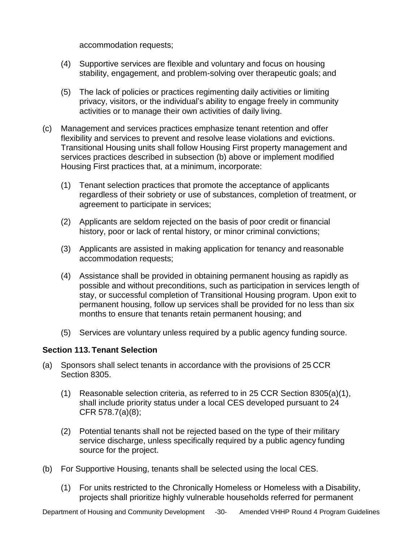accommodation requests;

- (4) Supportive services are flexible and voluntary and focus on housing stability, engagement, and problem-solving over therapeutic goals; and
- (5) The lack of policies or practices regimenting daily activities or limiting privacy, visitors, or the individual's ability to engage freely in community activities or to manage their own activities of daily living.
- (c) Management and services practices emphasize tenant retention and offer flexibility and services to prevent and resolve lease violations and evictions. Transitional Housing units shall follow Housing First property management and services practices described in subsection (b) above or implement modified Housing First practices that, at a minimum, incorporate:
	- (1) Tenant selection practices that promote the acceptance of applicants regardless of their sobriety or use of substances, completion of treatment, or agreement to participate in services;
	- (2) Applicants are seldom rejected on the basis of poor credit or financial history, poor or lack of rental history, or minor criminal convictions;
	- (3) Applicants are assisted in making application for tenancy and reasonable accommodation requests;
	- (4) Assistance shall be provided in obtaining permanent housing as rapidly as possible and without preconditions, such as participation in services length of stay, or successful completion of Transitional Housing program. Upon exit to permanent housing, follow up services shall be provided for no less than six months to ensure that tenants retain permanent housing; and
	- (5) Services are voluntary unless required by a public agency funding source.

#### <span id="page-29-0"></span>**Section 113. Tenant Selection**

- (a) Sponsors shall select tenants in accordance with the provisions of 25 CCR Section 8305.
	- (1) Reasonable selection criteria, as referred to in 25 CCR Section 8305(a)(1), shall include priority status under a local CES developed pursuant to 24 CFR 578.7(a)(8);
	- (2) Potential tenants shall not be rejected based on the type of their military service discharge, unless specifically required by a public agency funding source for the project.
- (b) For Supportive Housing, tenants shall be selected using the local CES.
	- (1) For units restricted to the Chronically Homeless or Homeless with a Disability, projects shall prioritize highly vulnerable households referred for permanent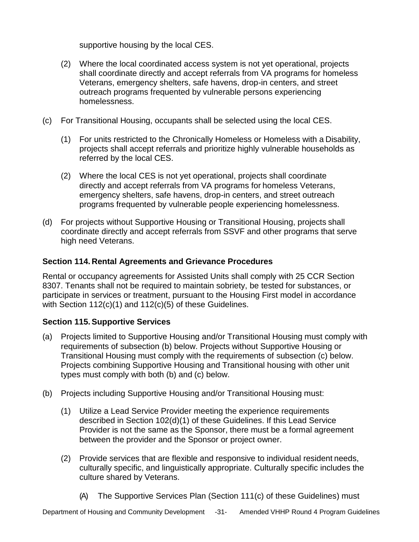supportive housing by the local CES.

- (2) Where the local coordinated access system is not yet operational, projects shall coordinate directly and accept referrals from VA programs for homeless Veterans, emergency shelters, safe havens, drop-in centers, and street outreach programs frequented by vulnerable persons experiencing homelessness.
- (c) For Transitional Housing, occupants shall be selected using the local CES.
	- (1) For units restricted to the Chronically Homeless or Homeless with a Disability, projects shall accept referrals and prioritize highly vulnerable households as referred by the local CES.
	- (2) Where the local CES is not yet operational, projects shall coordinate directly and accept referrals from VA programs for homeless Veterans, emergency shelters, safe havens, drop-in centers, and street outreach programs frequented by vulnerable people experiencing homelessness.
- (d) For projects without Supportive Housing or Transitional Housing, projects shall coordinate directly and accept referrals from SSVF and other programs that serve high need Veterans.

## <span id="page-30-0"></span>**Section 114. Rental Agreements and Grievance Procedures**

Rental or occupancy agreements for Assisted Units shall comply with 25 CCR Section 8307. Tenants shall not be required to maintain sobriety, be tested for substances, or participate in services or treatment, pursuant to the Housing First model in accordance with Section 112(c)(1) and 112(c)(5) of these Guidelines.

## <span id="page-30-1"></span>**Section 115.Supportive Services**

- (a) Projects limited to Supportive Housing and/or Transitional Housing must comply with requirements of subsection (b) below. Projects without Supportive Housing or Transitional Housing must comply with the requirements of subsection (c) below. Projects combining Supportive Housing and Transitional housing with other unit types must comply with both (b) and (c) below.
- (b) Projects including Supportive Housing and/or Transitional Housing must:
	- (1) Utilize a Lead Service Provider meeting the experience requirements described in Section 102(d)(1) of these Guidelines. If this Lead Service Provider is not the same as the Sponsor, there must be a formal agreement between the provider and the Sponsor or project owner.
	- (2) Provide services that are flexible and responsive to individual resident needs, culturally specific, and linguistically appropriate. Culturally specific includes the culture shared by Veterans.
		- (A) The Supportive Services Plan (Section 111(c) of these Guidelines) must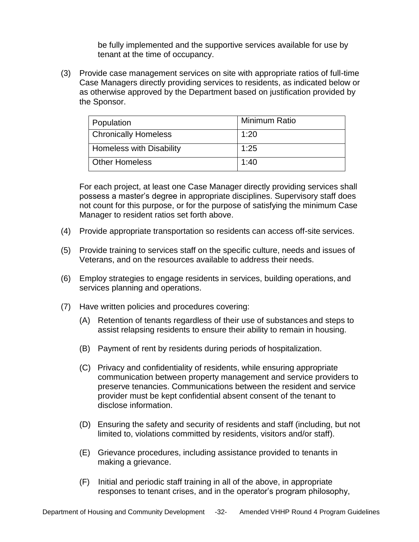be fully implemented and the supportive services available for use by tenant at the time of occupancy.

(3) Provide case management services on site with appropriate ratios of full-time Case Managers directly providing services to residents, as indicated below or as otherwise approved by the Department based on justification provided by the Sponsor.

| Population                  | Minimum Ratio |
|-----------------------------|---------------|
| <b>Chronically Homeless</b> | 1:20          |
| Homeless with Disability    | 1:25          |
| <b>Other Homeless</b>       | 1:40          |

For each project, at least one Case Manager directly providing services shall possess a master's degree in appropriate disciplines. Supervisory staff does not count for this purpose, or for the purpose of satisfying the minimum Case Manager to resident ratios set forth above.

- (4) Provide appropriate transportation so residents can access off-site services.
- (5) Provide training to services staff on the specific culture, needs and issues of Veterans, and on the resources available to address their needs.
- (6) Employ strategies to engage residents in services, building operations, and services planning and operations.
- (7) Have written policies and procedures covering:
	- (A) Retention of tenants regardless of their use of substances and steps to assist relapsing residents to ensure their ability to remain in housing.
	- (B) Payment of rent by residents during periods of hospitalization.
	- (C) Privacy and confidentiality of residents, while ensuring appropriate communication between property management and service providers to preserve tenancies. Communications between the resident and service provider must be kept confidential absent consent of the tenant to disclose information.
	- (D) Ensuring the safety and security of residents and staff (including, but not limited to, violations committed by residents, visitors and/or staff).
	- (E) Grievance procedures, including assistance provided to tenants in making a grievance.
	- (F) Initial and periodic staff training in all of the above, in appropriate responses to tenant crises, and in the operator's program philosophy,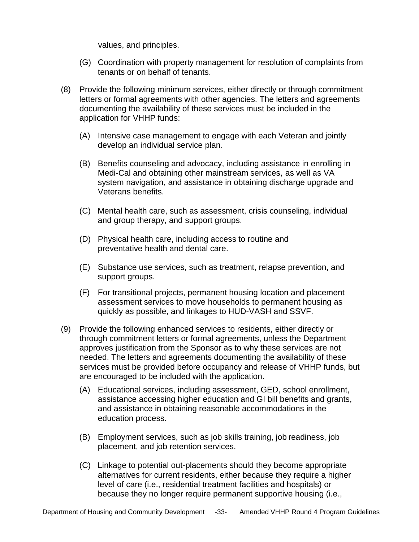values, and principles.

- (G) Coordination with property management for resolution of complaints from tenants or on behalf of tenants.
- (8) Provide the following minimum services, either directly or through commitment letters or formal agreements with other agencies. The letters and agreements documenting the availability of these services must be included in the application for VHHP funds:
	- (A) Intensive case management to engage with each Veteran and jointly develop an individual service plan.
	- (B) Benefits counseling and advocacy, including assistance in enrolling in Medi-Cal and obtaining other mainstream services, as well as VA system navigation, and assistance in obtaining discharge upgrade and Veterans benefits.
	- (C) Mental health care, such as assessment, crisis counseling, individual and group therapy, and support groups.
	- (D) Physical health care, including access to routine and preventative health and dental care.
	- (E) Substance use services, such as treatment, relapse prevention, and support groups.
	- (F) For transitional projects, permanent housing location and placement assessment services to move households to permanent housing as quickly as possible, and linkages to HUD-VASH and SSVF.
- (9) Provide the following enhanced services to residents, either directly or through commitment letters or formal agreements, unless the Department approves justification from the Sponsor as to why these services are not needed. The letters and agreements documenting the availability of these services must be provided before occupancy and release of VHHP funds, but are encouraged to be included with the application.
	- (A) Educational services, including assessment, GED, school enrollment, assistance accessing higher education and GI bill benefits and grants, and assistance in obtaining reasonable accommodations in the education process.
	- (B) Employment services, such as job skills training, job readiness, job placement, and job retention services.
	- (C) Linkage to potential out-placements should they become appropriate alternatives for current residents, either because they require a higher level of care (i.e., residential treatment facilities and hospitals) or because they no longer require permanent supportive housing (i.e.,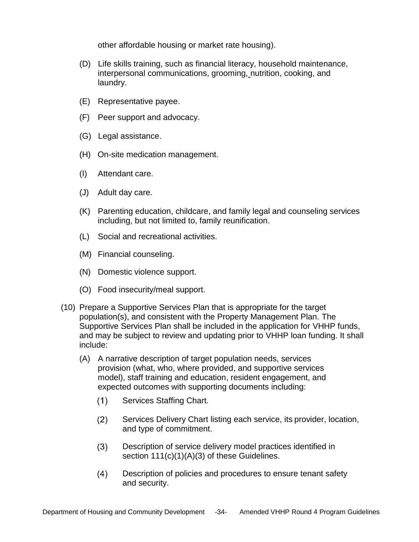other affordable housing or market rate housing).

- (D) Life skills training, such as financial literacy, household maintenance, interpersonal communications, grooming, nutrition, cooking, and laundry.
- (E) Representative payee.
- (F) Peer support and advocacy.
- (G) Legal assistance.
- (H) On-site medication management.
- (I) Attendant care.
- (J) Adult day care.
- (K) Parenting education, childcare, and family legal and counseling services including, but not limited to, family reunification.
- (L) Social and recreational activities.
- (M) Financial counseling.
- (N) Domestic violence support.
- (O) Food insecurity/meal support.
- (10) Prepare a Supportive Services Plan that is appropriate for the target population(s), and consistent with the Property Management Plan. The Supportive Services Plan shall be included in the application for VHHP funds, and may be subject to review and updating prior to VHHP loan funding. It shall include:
	- (A) A narrative description of target population needs, services provision (what, who, where provided, and supportive services model), staff training and education, resident engagement, and expected outcomes with supporting documents including:
		- $(1)$ Services Staffing Chart.
		- $(2)$ Services Delivery Chart listing each service, its provider, location, and type of commitment.
		- Description of service delivery model practices identified in  $(3)$ section  $111(c)(1)(A)(3)$  of these Guidelines.
		- $(4)$ Description of policies and procedures to ensure tenant safety and security.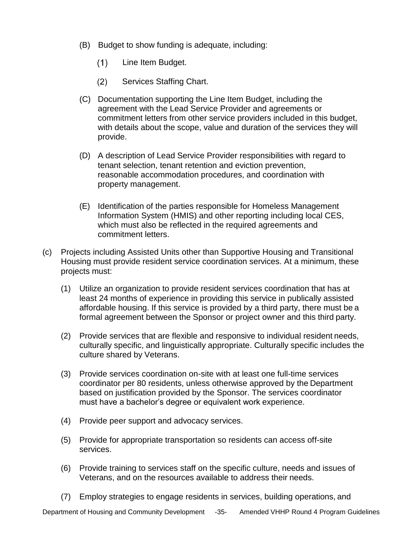- (B) Budget to show funding is adequate, including:
	- $(1)$ Line Item Budget.
	- $(2)$ Services Staffing Chart.
- (C) Documentation supporting the Line Item Budget, including the agreement with the Lead Service Provider and agreements or commitment letters from other service providers included in this budget, with details about the scope, value and duration of the services they will provide.
- (D) A description of Lead Service Provider responsibilities with regard to tenant selection, tenant retention and eviction prevention, reasonable accommodation procedures, and coordination with property management.
- (E) Identification of the parties responsible for Homeless Management Information System (HMIS) and other reporting including local CES, which must also be reflected in the required agreements and commitment letters.
- (c) Projects including Assisted Units other than Supportive Housing and Transitional Housing must provide resident service coordination services. At a minimum, these projects must:
	- (1) Utilize an organization to provide resident services coordination that has at least 24 months of experience in providing this service in publically assisted affordable housing. If this service is provided by a third party, there must be a formal agreement between the Sponsor or project owner and this third party.
	- (2) Provide services that are flexible and responsive to individual resident needs, culturally specific, and linguistically appropriate. Culturally specific includes the culture shared by Veterans.
	- (3) Provide services coordination on-site with at least one full-time services coordinator per 80 residents, unless otherwise approved by the Department based on justification provided by the Sponsor. The services coordinator must have a bachelor's degree or equivalent work experience.
	- (4) Provide peer support and advocacy services.
	- (5) Provide for appropriate transportation so residents can access off-site services.
	- (6) Provide training to services staff on the specific culture, needs and issues of Veterans, and on the resources available to address their needs.
	- (7) Employ strategies to engage residents in services, building operations, and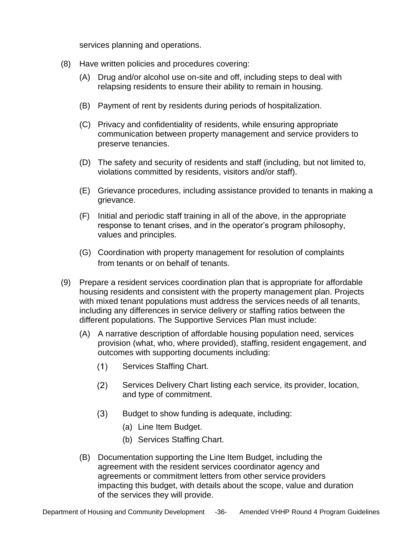services planning and operations.

- (8) Have written policies and procedures covering:
	- (A) Drug and/or alcohol use on-site and off, including steps to deal with relapsing residents to ensure their ability to remain in housing.
	- (B) Payment of rent by residents during periods of hospitalization.
	- (C) Privacy and confidentiality of residents, while ensuring appropriate communication between property management and service providers to preserve tenancies.
	- (D) The safety and security of residents and staff (including, but not limited to, violations committed by residents, visitors and/or staff).
	- (E) Grievance procedures, including assistance provided to tenants in making a grievance.
	- (F) Initial and periodic staff training in all of the above, in the appropriate response to tenant crises, and in the operator's program philosophy, values and principles.
	- (G) Coordination with property management for resolution of complaints from tenants or on behalf of tenants.
- (9) Prepare a resident services coordination plan that is appropriate for affordable housing residents and consistent with the property management plan. Projects with mixed tenant populations must address the services needs of all tenants, including any differences in service delivery or staffing ratios between the different populations. The Supportive Services Plan must include:
	- (A) A narrative description of affordable housing population need, services provision (what, who, where provided), staffing, resident engagement, and outcomes with supporting documents including:
		- $(1)$ Services Staffing Chart.
		- $(2)$ Services Delivery Chart listing each service, its provider, location, and type of commitment.
		- $(3)$ Budget to show funding is adequate, including:
			- (a) Line Item Budget.
			- (b) Services Staffing Chart.
	- (B) Documentation supporting the Line Item Budget, including the agreement with the resident services coordinator agency and agreements or commitment letters from other service providers impacting this budget, with details about the scope, value and duration of the services they will provide.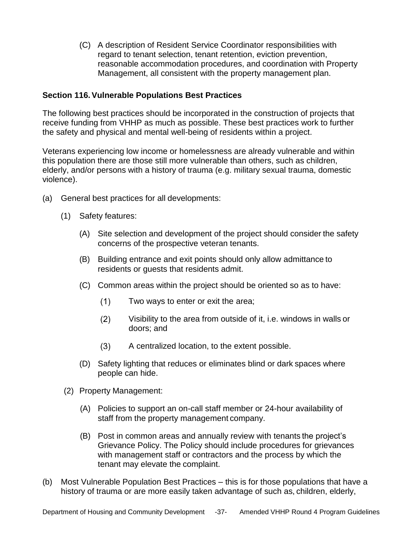(C) A description of Resident Service Coordinator responsibilities with regard to tenant selection, tenant retention, eviction prevention, reasonable accommodation procedures, and coordination with Property Management, all consistent with the property management plan.

### <span id="page-36-0"></span>**Section 116.Vulnerable Populations Best Practices**

The following best practices should be incorporated in the construction of projects that receive funding from VHHP as much as possible. These best practices work to further the safety and physical and mental well-being of residents within a project.

Veterans experiencing low income or homelessness are already vulnerable and within this population there are those still more vulnerable than others, such as children, elderly, and/or persons with a history of trauma (e.g. military sexual trauma, domestic violence).

- (a) General best practices for all developments:
	- (1) Safety features:
		- (A) Site selection and development of the project should consider the safety concerns of the prospective veteran tenants.
		- (B) Building entrance and exit points should only allow admittance to residents or guests that residents admit.
		- (C) Common areas within the project should be oriented so as to have:
			- $(1)$ Two ways to enter or exit the area;
			- $(2)$ Visibility to the area from outside of it, i.e. windows in walls or doors; and
			- $(3)$ A centralized location, to the extent possible.
		- (D) Safety lighting that reduces or eliminates blind or dark spaces where people can hide.
	- (2) Property Management:
		- (A) Policies to support an on-call staff member or 24-hour availability of staff from the property management company.
		- (B) Post in common areas and annually review with tenants the project's Grievance Policy. The Policy should include procedures for grievances with management staff or contractors and the process by which the tenant may elevate the complaint.
- (b) Most Vulnerable Population Best Practices this is for those populations that have a history of trauma or are more easily taken advantage of such as, children, elderly,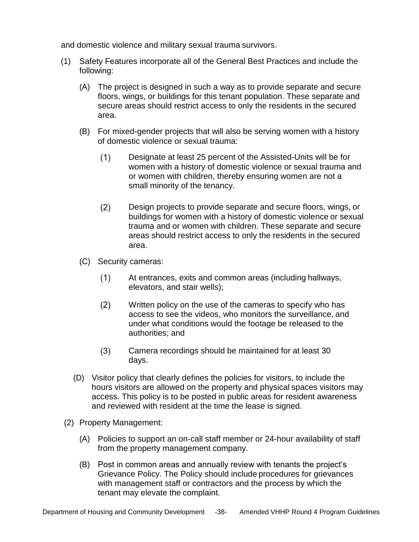and domestic violence and military sexual trauma survivors.

- (1) Safety Features incorporate all of the General Best Practices and include the following:
	- (A) The project is designed in such a way as to provide separate and secure floors, wings, or buildings for this tenant population. These separate and secure areas should restrict access to only the residents in the secured area.
	- (B) For mixed-gender projects that will also be serving women with a history of domestic violence or sexual trauma:
		- $(1)$ Designate at least 25 percent of the Assisted-Units will be for women with a history of domestic violence or sexual trauma and or women with children, thereby ensuring women are not a small minority of the tenancy.
		- $(2)$ Design projects to provide separate and secure floors, wings, or buildings for women with a history of domestic violence or sexual trauma and or women with children. These separate and secure areas should restrict access to only the residents in the secured area.
	- (C) Security cameras:
		- $(1)$ At entrances, exits and common areas (including hallways, elevators, and stair wells);
		- $(2)$ Written policy on the use of the cameras to specify who has access to see the videos, who monitors the surveillance, and under what conditions would the footage be released to the authorities; and
		- $(3)$ Camera recordings should be maintained for at least 30 days.
	- (D) Visitor policy that clearly defines the policies for visitors, to include the hours visitors are allowed on the property and physical spaces visitors may access. This policy is to be posted in public areas for resident awareness and reviewed with resident at the time the lease is signed.
- (2) Property Management:
	- (A) Policies to support an on-call staff member or 24-hour availability of staff from the property management company.
	- (B) Post in common areas and annually review with tenants the project's Grievance Policy. The Policy should include procedures for grievances with management staff or contractors and the process by which the tenant may elevate the complaint.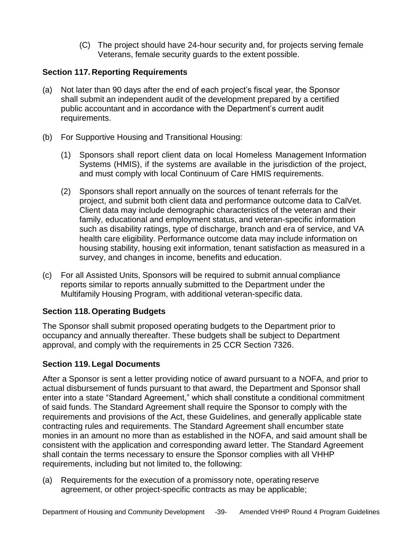(C) The project should have 24-hour security and, for projects serving female Veterans, female security guards to the extent possible.

## <span id="page-38-0"></span>**Section 117. Reporting Requirements**

- (a) Not later than 90 days after the end of each project's fiscal year, the Sponsor shall submit an independent audit of the development prepared by a certified public accountant and in accordance with the Department's current audit requirements.
- (b) For Supportive Housing and Transitional Housing:
	- (1) Sponsors shall report client data on local Homeless Management Information Systems (HMIS), if the systems are available in the jurisdiction of the project, and must comply with local Continuum of Care HMIS requirements.
	- (2) Sponsors shall report annually on the sources of tenant referrals for the project, and submit both client data and performance outcome data to CalVet. Client data may include demographic characteristics of the veteran and their family, educational and employment status, and veteran-specific information such as disability ratings, type of discharge, branch and era of service, and VA health care eligibility. Performance outcome data may include information on housing stability, housing exit information, tenant satisfaction as measured in a survey, and changes in income, benefits and education.
- (c) For all Assisted Units, Sponsors will be required to submit annual compliance reports similar to reports annually submitted to the Department under the Multifamily Housing Program, with additional veteran-specific data.

## <span id="page-38-1"></span>**Section 118. Operating Budgets**

The Sponsor shall submit proposed operating budgets to the Department prior to occupancy and annually thereafter. These budgets shall be subject to Department approval, and comply with the requirements in 25 CCR Section 7326.

## <span id="page-38-2"></span>**Section 119. Legal Documents**

After a Sponsor is sent a letter providing notice of award pursuant to a NOFA, and prior to actual disbursement of funds pursuant to that award, the Department and Sponsor shall enter into a state "Standard Agreement," which shall constitute a conditional commitment of said funds. The Standard Agreement shall require the Sponsor to comply with the requirements and provisions of the Act, these Guidelines, and generally applicable state contracting rules and requirements. The Standard Agreement shall encumber state monies in an amount no more than as established in the NOFA, and said amount shall be consistent with the application and corresponding award letter. The Standard Agreement shall contain the terms necessary to ensure the Sponsor complies with all VHHP requirements, including but not limited to, the following:

(a) Requirements for the execution of a promissory note, operating reserve agreement, or other project-specific contracts as may be applicable;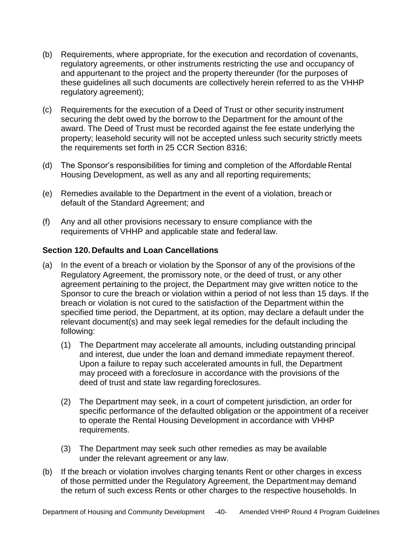- (b) Requirements, where appropriate, for the execution and recordation of covenants, regulatory agreements, or other instruments restricting the use and occupancy of and appurtenant to the project and the property thereunder (for the purposes of these guidelines all such documents are collectively herein referred to as the VHHP regulatory agreement);
- (c) Requirements for the execution of a Deed of Trust or other security instrument securing the debt owed by the borrow to the Department for the amount of the award. The Deed of Trust must be recorded against the fee estate underlying the property; leasehold security will not be accepted unless such security strictly meets the requirements set forth in 25 CCR Section 8316;
- (d) The Sponsor's responsibilities for timing and completion of the Affordable Rental Housing Development, as well as any and all reporting requirements;
- (e) Remedies available to the Department in the event of a violation, breach or default of the Standard Agreement; and
- (f) Any and all other provisions necessary to ensure compliance with the requirements of VHHP and applicable state and federal law.

## <span id="page-39-0"></span>**Section 120. Defaults and Loan Cancellations**

- (a) In the event of a breach or violation by the Sponsor of any of the provisions of the Regulatory Agreement, the promissory note, or the deed of trust, or any other agreement pertaining to the project, the Department may give written notice to the Sponsor to cure the breach or violation within a period of not less than 15 days. If the breach or violation is not cured to the satisfaction of the Department within the specified time period, the Department, at its option, may declare a default under the relevant document(s) and may seek legal remedies for the default including the following:
	- (1) The Department may accelerate all amounts, including outstanding principal and interest, due under the loan and demand immediate repayment thereof. Upon a failure to repay such accelerated amounts in full, the Department may proceed with a foreclosure in accordance with the provisions of the deed of trust and state law regarding foreclosures.
	- (2) The Department may seek, in a court of competent jurisdiction, an order for specific performance of the defaulted obligation or the appointment of a receiver to operate the Rental Housing Development in accordance with VHHP requirements.
	- (3) The Department may seek such other remedies as may be available under the relevant agreement or any law.
- (b) If the breach or violation involves charging tenants Rent or other charges in excess of those permitted under the Regulatory Agreement, the Department may demand the return of such excess Rents or other charges to the respective households. In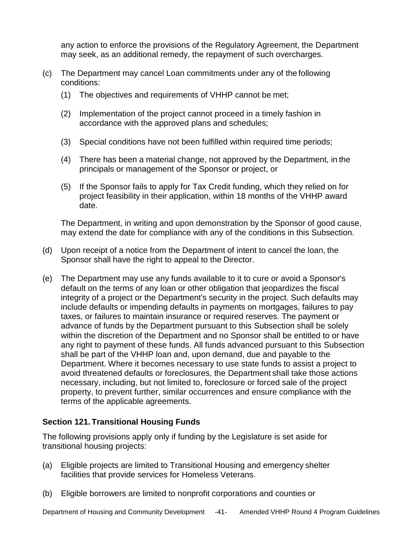any action to enforce the provisions of the Regulatory Agreement, the Department may seek, as an additional remedy, the repayment of such overcharges.

- (c) The Department may cancel Loan commitments under any of the following conditions:
	- (1) The objectives and requirements of VHHP cannot be met;
	- (2) Implementation of the project cannot proceed in a timely fashion in accordance with the approved plans and schedules;
	- (3) Special conditions have not been fulfilled within required time periods;
	- (4) There has been a material change, not approved by the Department, in the principals or management of the Sponsor or project, or
	- (5) If the Sponsor fails to apply for Tax Credit funding, which they relied on for project feasibility in their application, within 18 months of the VHHP award date.

The Department, in writing and upon demonstration by the Sponsor of good cause, may extend the date for compliance with any of the conditions in this Subsection.

- (d) Upon receipt of a notice from the Department of intent to cancel the loan, the Sponsor shall have the right to appeal to the Director.
- (e) The Department may use any funds available to it to cure or avoid a Sponsor's default on the terms of any loan or other obligation that jeopardizes the fiscal integrity of a project or the Department's security in the project. Such defaults may include defaults or impending defaults in payments on mortgages, failures to pay taxes, or failures to maintain insurance or required reserves. The payment or advance of funds by the Department pursuant to this Subsection shall be solely within the discretion of the Department and no Sponsor shall be entitled to or have any right to payment of these funds. All funds advanced pursuant to this Subsection shall be part of the VHHP loan and, upon demand, due and payable to the Department. Where it becomes necessary to use state funds to assist a project to avoid threatened defaults or foreclosures, the Department shall take those actions necessary, including, but not limited to, foreclosure or forced sale of the project property, to prevent further, similar occurrences and ensure compliance with the terms of the applicable agreements.

## <span id="page-40-0"></span>**Section 121. Transitional Housing Funds**

The following provisions apply only if funding by the Legislature is set aside for transitional housing projects:

- (a) Eligible projects are limited to Transitional Housing and emergency shelter facilities that provide services for Homeless Veterans.
- (b) Eligible borrowers are limited to nonprofit corporations and counties or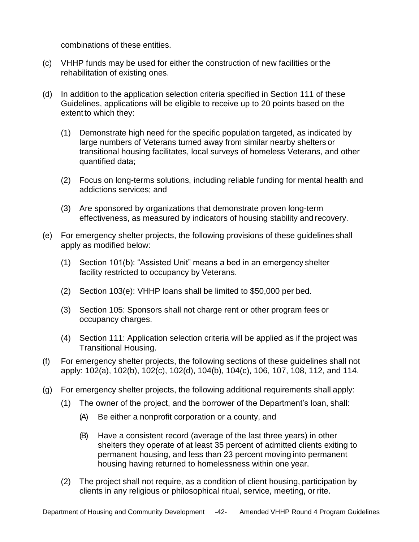combinations of these entities.

- (c) VHHP funds may be used for either the construction of new facilities or the rehabilitation of existing ones.
- (d) In addition to the application selection criteria specified in Section 111 of these Guidelines, applications will be eligible to receive up to 20 points based on the extent to which they:
	- (1) Demonstrate high need for the specific population targeted, as indicated by large numbers of Veterans turned away from similar nearby shelters or transitional housing facilitates, local surveys of homeless Veterans, and other quantified data;
	- (2) Focus on long-terms solutions, including reliable funding for mental health and addictions services; and
	- (3) Are sponsored by organizations that demonstrate proven long-term effectiveness, as measured by indicators of housing stability and recovery.
- (e) For emergency shelter projects, the following provisions of these guidelines shall apply as modified below:
	- (1) Section 101(b): "Assisted Unit" means a bed in an emergency shelter facility restricted to occupancy by Veterans.
	- (2) Section 103(e): VHHP loans shall be limited to \$50,000 per bed.
	- (3) Section 105: Sponsors shall not charge rent or other program fees or occupancy charges.
	- (4) Section 111: Application selection criteria will be applied as if the project was Transitional Housing.
- (f) For emergency shelter projects, the following sections of these guidelines shall not apply: 102(a), 102(b), 102(c), 102(d), 104(b), 104(c), 106, 107, 108, 112, and 114.
- (g) For emergency shelter projects, the following additional requirements shall apply:
	- (1) The owner of the project, and the borrower of the Department's loan, shall:
		- (A) Be either a nonprofit corporation or a county, and
		- (B) Have a consistent record (average of the last three years) in other shelters they operate of at least 35 percent of admitted clients exiting to permanent housing, and less than 23 percent moving into permanent housing having returned to homelessness within one year.
	- (2) The project shall not require, as a condition of client housing, participation by clients in any religious or philosophical ritual, service, meeting, or rite.